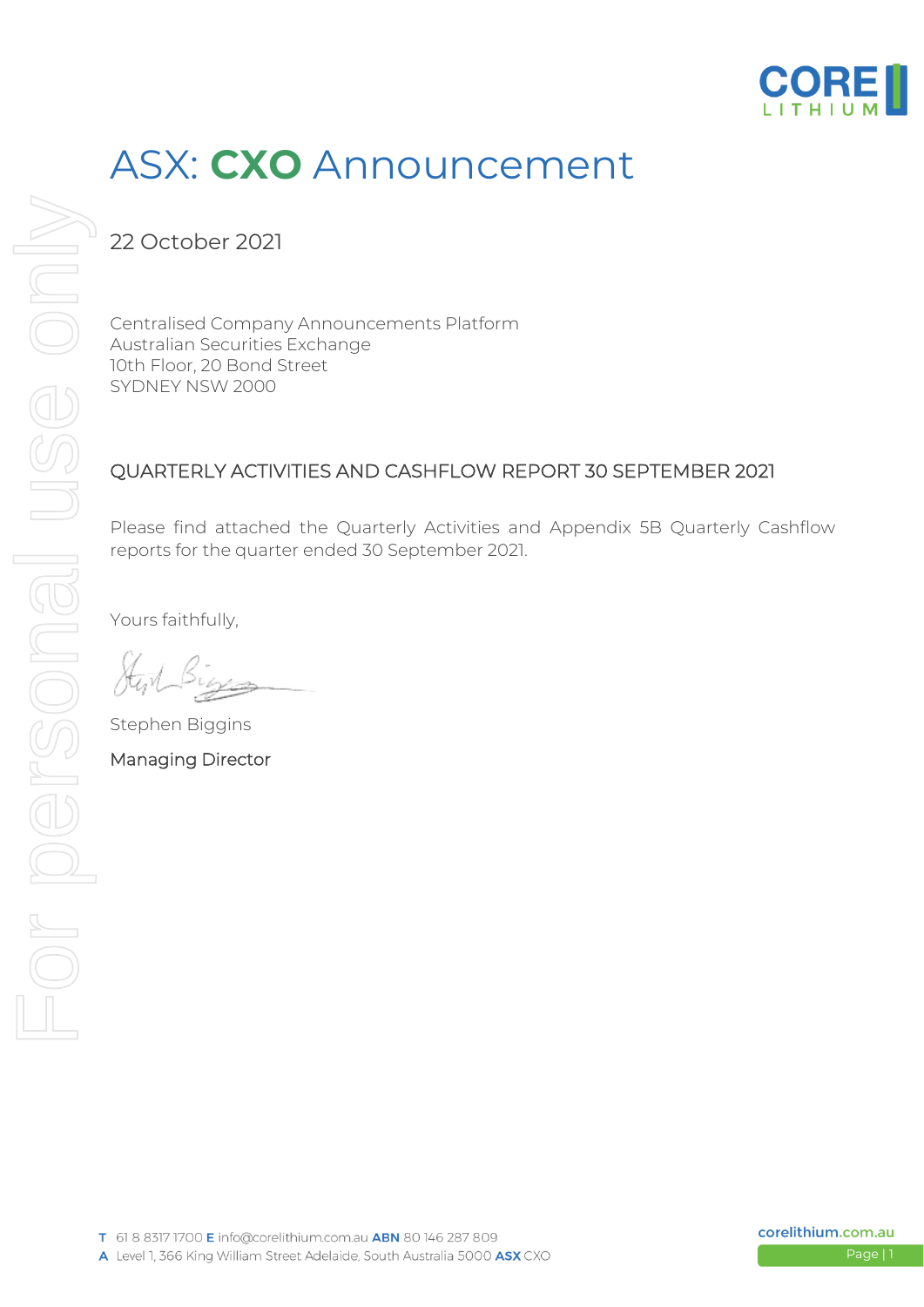

## ASX: **CXO** Announcement

22 October 2021

Centralised Company Announcements Platform Australian Securities Exchange 10th Floor, 20 Bond Street SYDNEY NSW 2000

#### QUARTERLY ACTIVITIES AND CASHFLOW REPORT 30 SEPTEMBER 2021

Please find attached the Quarterly Activities and Appendix 5B Quarterly Cashflow reports for the quarter ended 30 September 2021.

Yours faithfully,

Stephen Biggins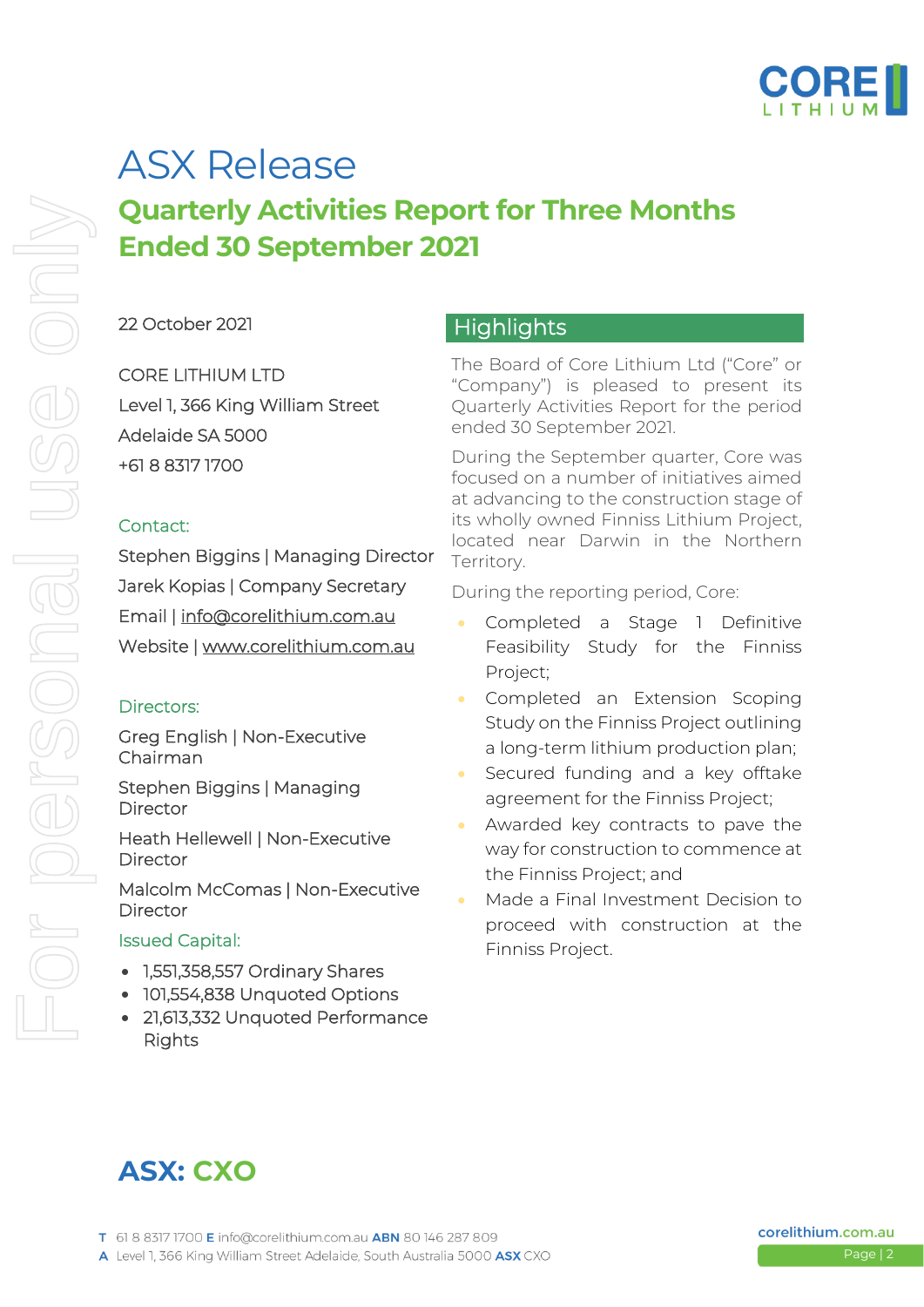

# ASX Release

### **Quarterly Activities Report for Three Months Ended 30 September 2021**

#### 22 October 2021

CORE LITHIUM LTD Level 1, 366 King William Street Adelaide SA 5000 +61 8 8317 1700

#### Contact:

Stephen Biggins | Managing Director Jarek Kopias | Company Secretary Email | [info@corelithium.com.au](mailto:info@coreexploration.com.au)  Website | [www.corelithium.com.au](http://www.coreexploration.com.au/) 

#### Directors:

Greg English | Non-Executive Chairman

Stephen Biggins | Managing Director

Heath Hellewell | Non-Executive **Director** 

Malcolm McComas | Non-Executive **Director** 

#### Issued Capital:

- 1,551,358,557 Ordinary Shares
- 101,554,838 Unquoted Options
- 21,613,332 Unquoted Performance Rights

#### **Highlights**

The Board of Core Lithium Ltd ("Core" or "Company") is pleased to present its Quarterly Activities Report for the period ended 30 September 2021.

During the September quarter, Core was focused on a number of initiatives aimed at advancing to the construction stage of its wholly owned Finniss Lithium Project, located near Darwin in the Northern Territory.

During the reporting period, Core:

- Completed a Stage 1 Definitive Feasibility Study for the Finniss Project;
- Completed an Extension Scoping Study on the Finniss Project outlining a long-term lithium production plan;
- Secured funding and a key offtake agreement for the Finniss Project;
- Awarded key contracts to pave the way for construction to commence at the Finniss Project; and
- Made a Final Investment Decision to proceed with construction at the Finniss Project.

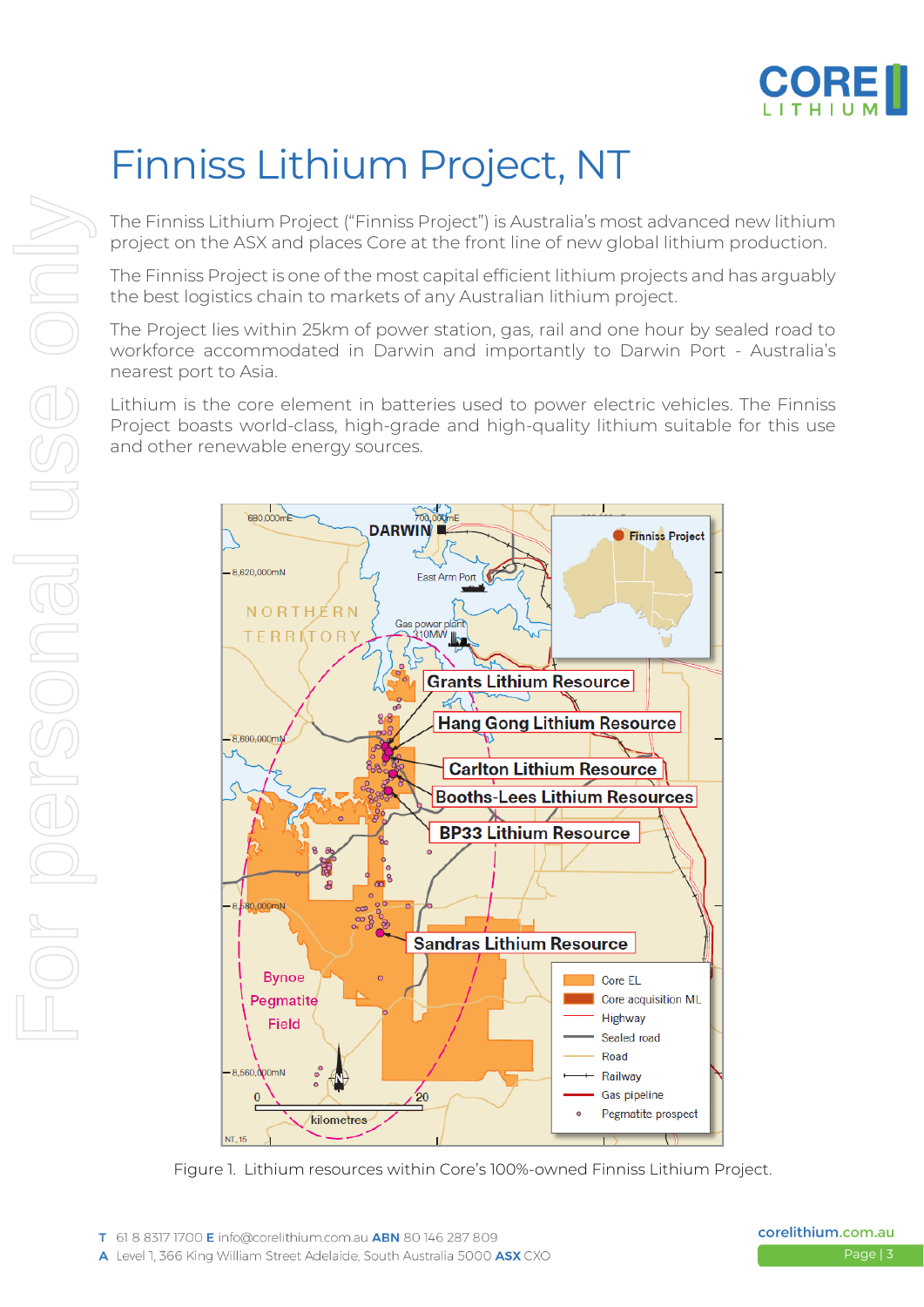

## Finniss Lithium Project, NT

The Finniss Lithium Project ("Finniss Project") is Australia's most advanced new lithium project on the ASX and places Core at the front line of new global lithium production.

The Finniss Project is one of the most capital efficient lithium projects and has arguably the best logistics chain to markets of any Australian lithium project.

The Project lies within 25km of power station, gas, rail and one hour by sealed road to workforce accommodated in Darwin and importantly to Darwin Port - Australia's nearest port to Asia.

Lithium is the core element in batteries used to power electric vehicles. The Finniss Project boasts world-class, high-grade and high-quality lithium suitable for this use and other renewable energy sources.

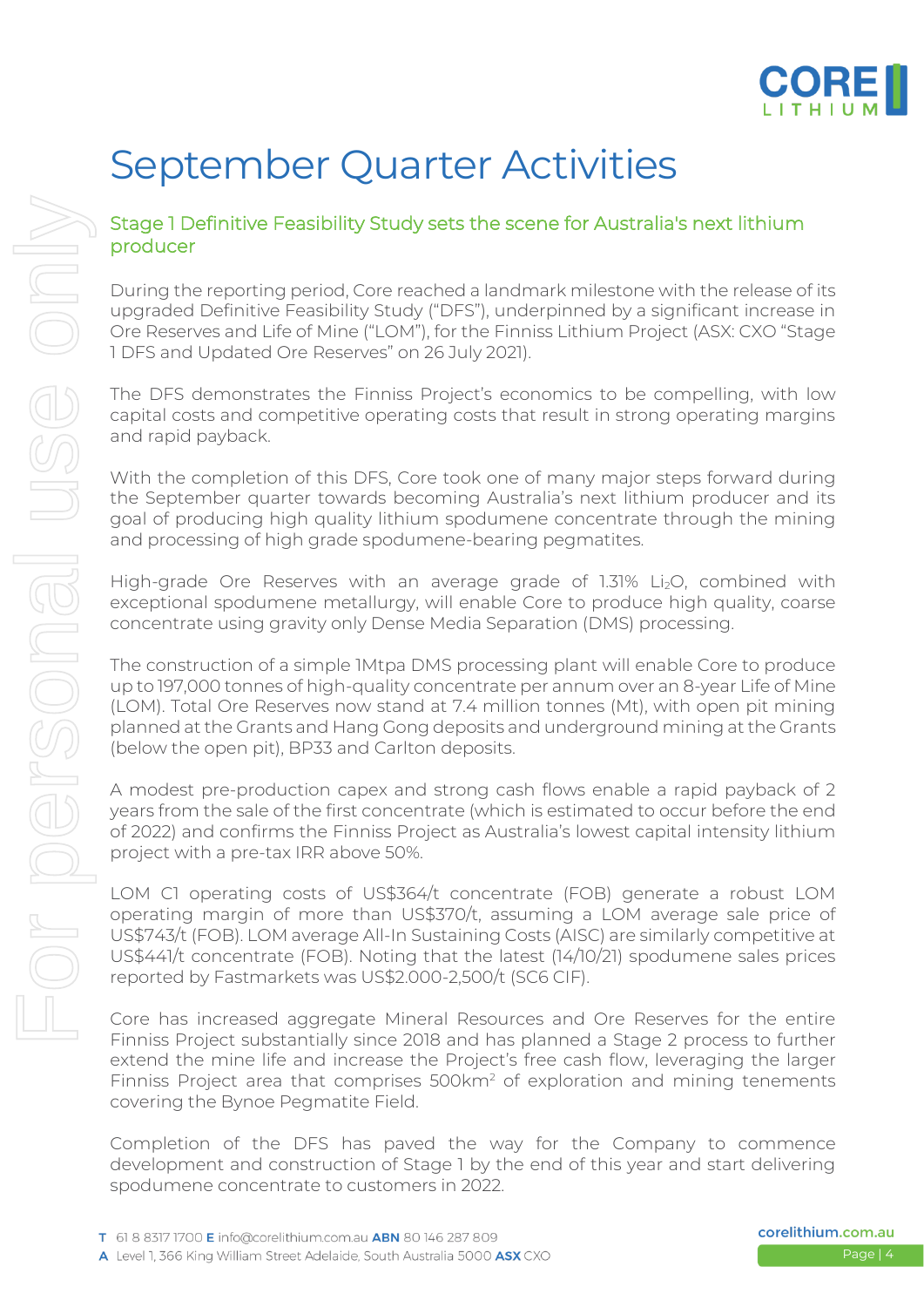

### September Quarter Activities

#### Stage 1 Definitive Feasibility Study sets the scene for Australia's next lithium producer

During the reporting period, Core reached a landmark milestone with the release of its upgraded Definitive Feasibility Study ("DFS"), underpinned by a significant increase in Ore Reserves and Life of Mine ("LOM"), for the Finniss Lithium Project (ASX: CXO "Stage 1 DFS and Updated Ore Reserves" on 26 July 2021).

The DFS demonstrates the Finniss Project's economics to be compelling, with low capital costs and competitive operating costs that result in strong operating margins and rapid payback.

With the completion of this DFS, Core took one of many major steps forward during the September quarter towards becoming Australia's next lithium producer and its goal of producing high quality lithium spodumene concentrate through the mining and processing of high grade spodumene-bearing pegmatites.

High-grade Ore Reserves with an average grade of 1.31% Li2O, combined with exceptional spodumene metallurgy, will enable Core to produce high quality, coarse concentrate using gravity only Dense Media Separation (DMS) processing.

The construction of a simple 1Mtpa DMS processing plant will enable Core to produce up to 197,000 tonnes of high-quality concentrate per annum over an 8-year Life of Mine (LOM). Total Ore Reserves now stand at 7.4 million tonnes (Mt), with open pit mining planned at the Grants and Hang Gong deposits and underground mining at the Grants (below the open pit), BP33 and Carlton deposits.

A modest pre-production capex and strong cash flows enable a rapid payback of 2 years from the sale of the first concentrate (which is estimated to occur before the end of 2022) and confirms the Finniss Project as Australia's lowest capital intensity lithium project with a pre-tax IRR above 50%.

LOM C1 operating costs of US\$364/t concentrate (FOB) generate a robust LOM operating margin of more than US\$370/t, assuming a LOM average sale price of US\$743/t (FOB). LOM average All-In Sustaining Costs (AISC) are similarly competitive at US\$441/t concentrate (FOB). Noting that the latest (14/10/21) spodumene sales prices reported by Fastmarkets was US\$2.000-2,500/t (SC6 CIF).

Core has increased aggregate Mineral Resources and Ore Reserves for the entire Finniss Project substantially since 2018 and has planned a Stage 2 process to further extend the mine life and increase the Project's free cash flow, leveraging the larger Finniss Project area that comprises 500km<sup>2</sup> of exploration and mining tenements covering the Bynoe Pegmatite Field.

Completion of the DFS has paved the way for the Company to commence development and construction of Stage 1 by the end of this year and start delivering spodumene concentrate to customers in 2022.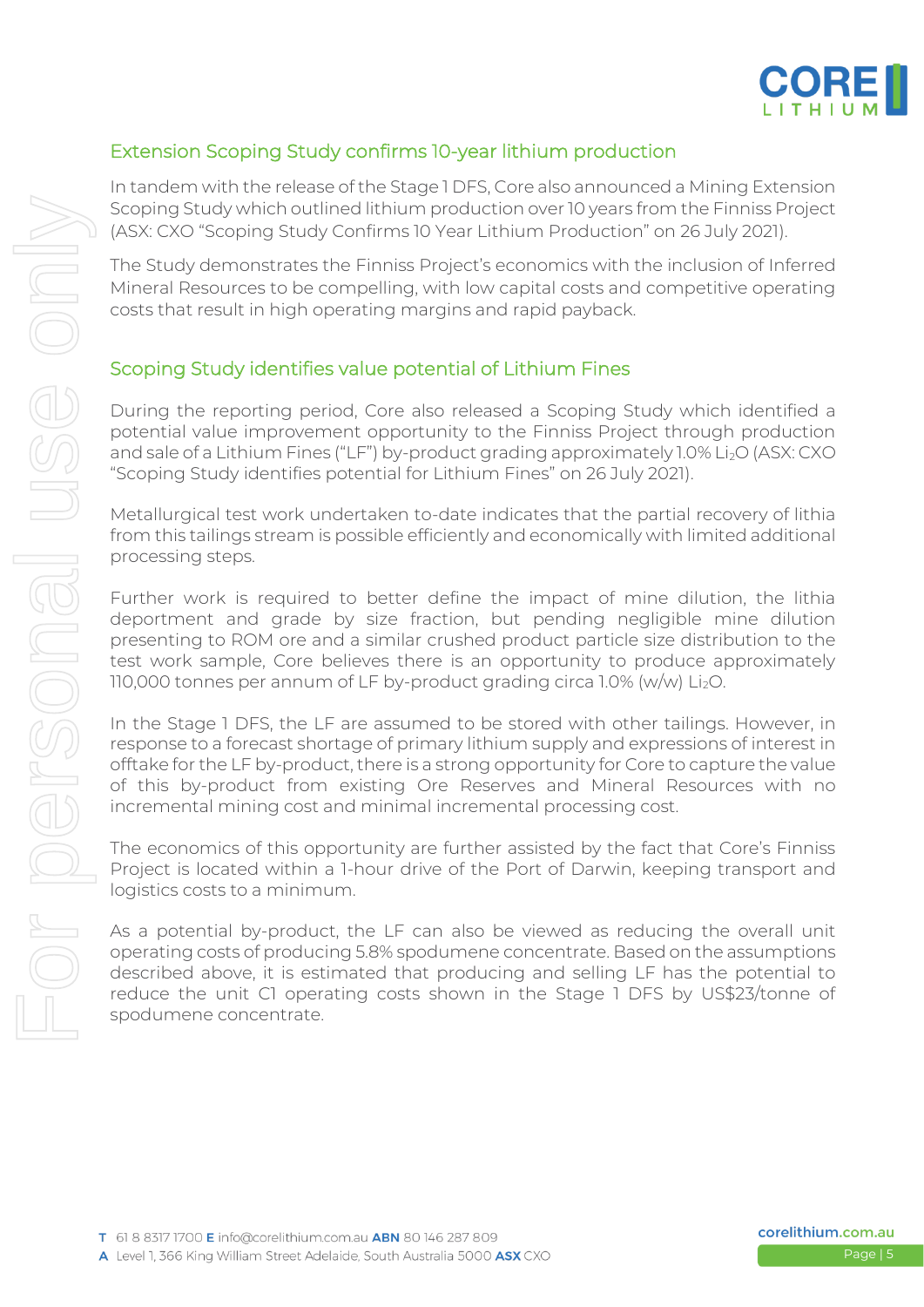

#### Extension Scoping Study confirms 10-year lithium production

In tandem with the release of the Stage 1 DFS, Core also announced a Mining Extension Scoping Study which outlined lithium production over 10 years from the Finniss Project (ASX: CXO "Scoping Study Confirms 10 Year Lithium Production" on 26 July 2021).

The Study demonstrates the Finniss Project's economics with the inclusion of Inferred Mineral Resources to be compelling, with low capital costs and competitive operating costs that result in high operating margins and rapid payback.

#### Scoping Study identifies value potential of Lithium Fines

During the reporting period, Core also released a Scoping Study which identified a potential value improvement opportunity to the Finniss Project through production and sale of a Lithium Fines ("LF") by-product grading approximately 1.0% Li<sub>2</sub>O (ASX: CXO "Scoping Study identifies potential for Lithium Fines" on 26 July 2021).

Metallurgical test work undertaken to-date indicates that the partial recovery of lithia from this tailings stream is possible efficiently and economically with limited additional processing steps.

Further work is required to better define the impact of mine dilution, the lithia deportment and grade by size fraction, but pending negligible mine dilution presenting to ROM ore and a similar crushed product particle size distribution to the test work sample, Core believes there is an opportunity to produce approximately 110,000 tonnes per annum of LF by-product grading circa 1.0% (w/w) Li<sub>2</sub>O.

In the Stage 1 DFS, the LF are assumed to be stored with other tailings. However, in response to a forecast shortage of primary lithium supply and expressions of interest in offtake for the LF by-product, there is a strong opportunity for Core to capture the value of this by-product from existing Ore Reserves and Mineral Resources with no incremental mining cost and minimal incremental processing cost.

The economics of this opportunity are further assisted by the fact that Core's Finniss Project is located within a 1-hour drive of the Port of Darwin, keeping transport and logistics costs to a minimum.

As a potential by-product, the LF can also be viewed as reducing the overall unit operating costs of producing 5.8% spodumene concentrate. Based on the assumptions described above, it is estimated that producing and selling LF has the potential to reduce the unit C1 operating costs shown in the Stage 1 DFS by US\$23/tonne of spodumene concentrate.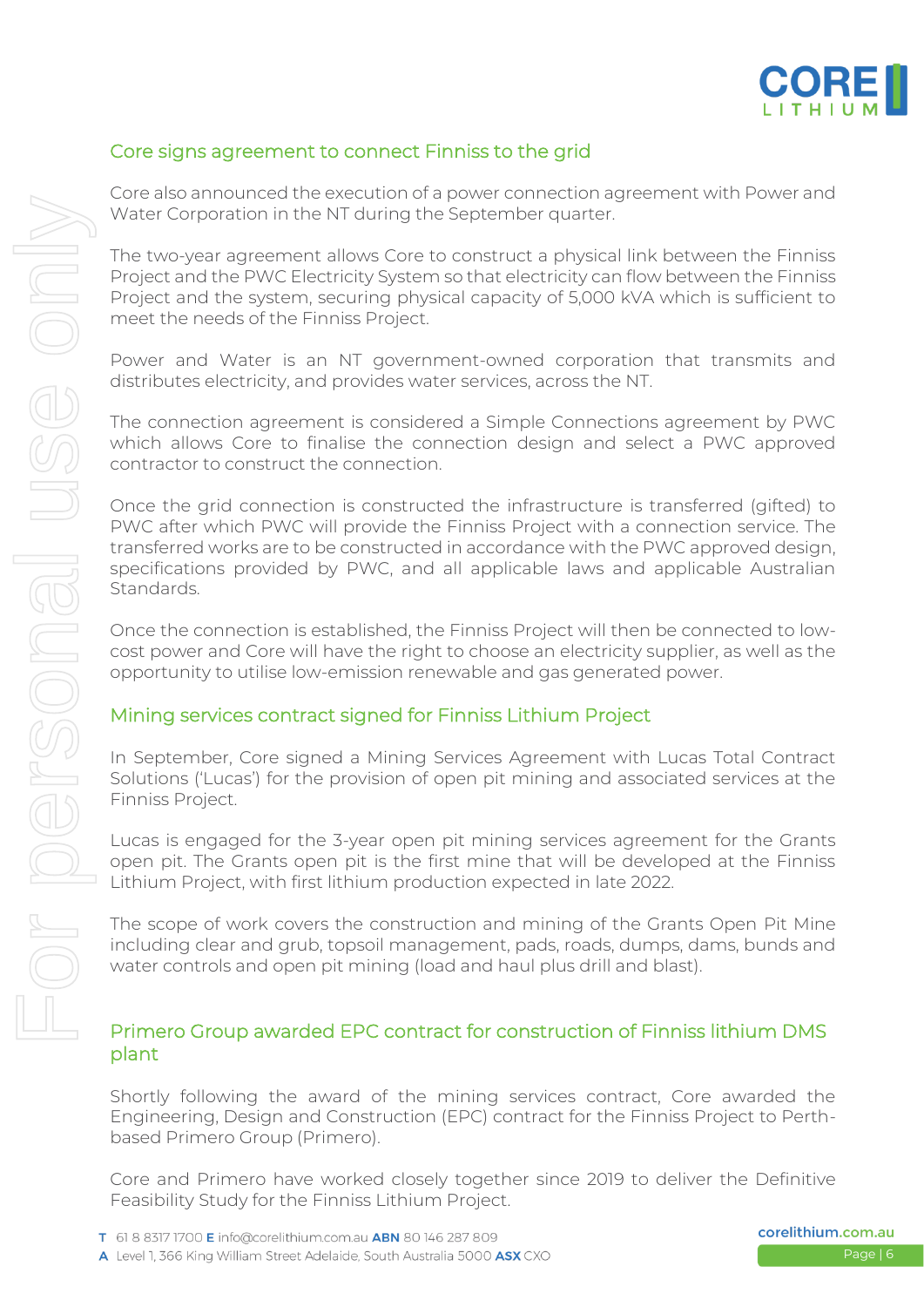

#### Core signs agreement to connect Finniss to the grid

Core also announced the execution of a power connection agreement with Power and Water Corporation in the NT during the September quarter.

The two-year agreement allows Core to construct a physical link between the Finniss Project and the PWC Electricity System so that electricity can flow between the Finniss Project and the system, securing physical capacity of 5,000 kVA which is sufficient to meet the needs of the Finniss Project.

Power and Water is an NT government-owned corporation that transmits and distributes electricity, and provides water services, across the NT.

The connection agreement is considered a Simple Connections agreement by PWC which allows Core to finalise the connection design and select a PWC approved contractor to construct the connection.

Once the grid connection is constructed the infrastructure is transferred (gifted) to PWC after which PWC will provide the Finniss Project with a connection service. The transferred works are to be constructed in accordance with the PWC approved design, specifications provided by PWC, and all applicable laws and applicable Australian Standards.

Once the connection is established, the Finniss Project will then be connected to lowcost power and Core will have the right to choose an electricity supplier, as well as the opportunity to utilise low-emission renewable and gas generated power.

#### Mining services contract signed for Finniss Lithium Project

In September, Core signed a Mining Services Agreement with Lucas Total Contract Solutions ('Lucas') for the provision of open pit mining and associated services at the Finniss Project.

Lucas is engaged for the 3-year open pit mining services agreement for the Grants open pit. The Grants open pit is the first mine that will be developed at the Finniss Lithium Project, with first lithium production expected in late 2022.

The scope of work covers the construction and mining of the Grants Open Pit Mine including clear and grub, topsoil management, pads, roads, dumps, dams, bunds and water controls and open pit mining (load and haul plus drill and blast).

#### Primero Group awarded EPC contract for construction of Finniss lithium DMS plant

Shortly following the award of the mining services contract, Core awarded the Engineering, Design and Construction (EPC) contract for the Finniss Project to Perthbased Primero Group (Primero).

Core and Primero have worked closely together since 2019 to deliver the Definitive Feasibility Study for the Finniss Lithium Project.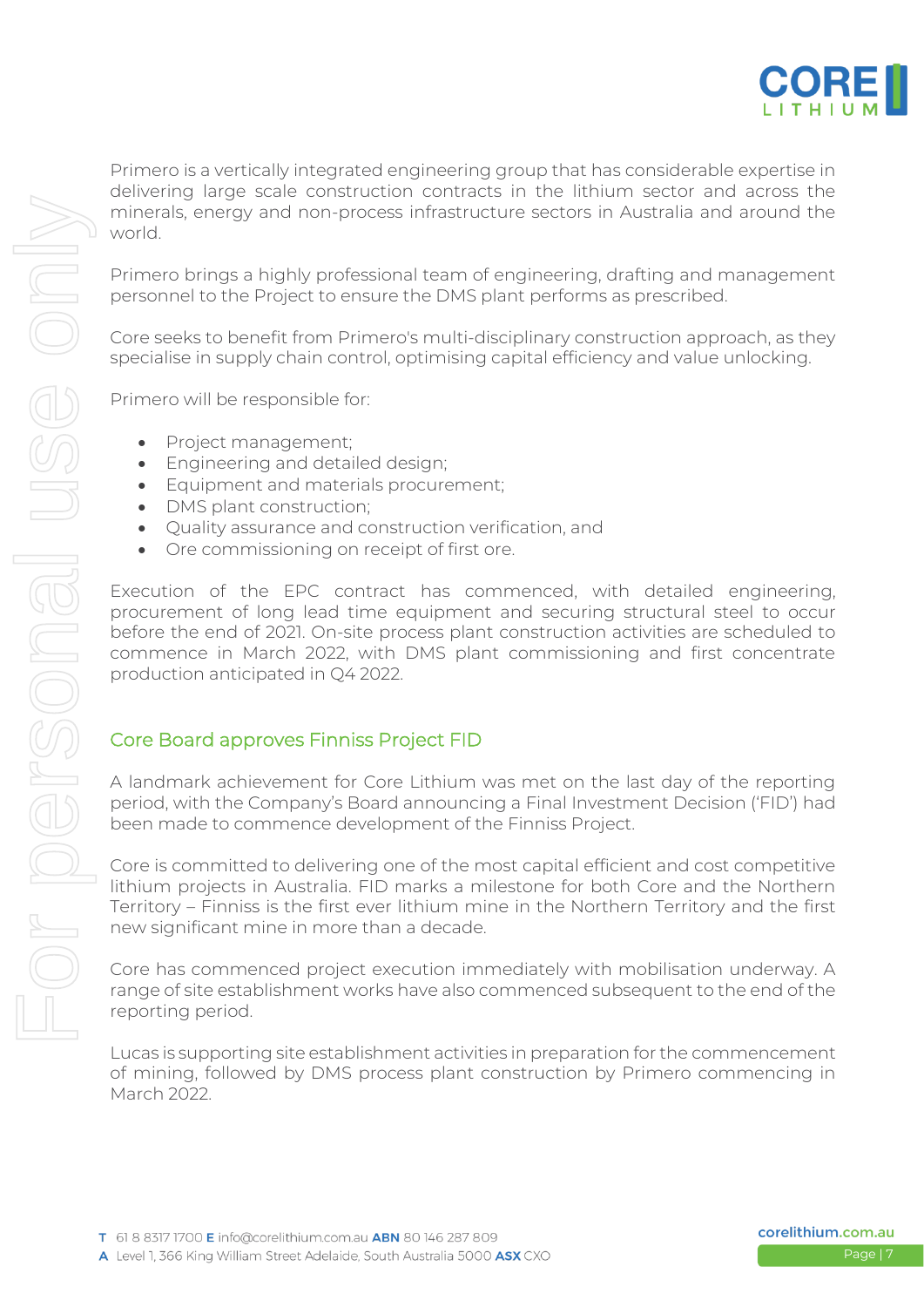

Primero is a vertically integrated engineering group that has considerable expertise in delivering large scale construction contracts in the lithium sector and across the minerals, energy and non-process infrastructure sectors in Australia and around the world.

Primero brings a highly professional team of engineering, drafting and management personnel to the Project to ensure the DMS plant performs as prescribed.

Core seeks to benefit from Primero's multi-disciplinary construction approach, as they specialise in supply chain control, optimising capital efficiency and value unlocking.

Primero will be responsible for:

- Project management;
- Engineering and detailed design;
- Equipment and materials procurement;
- DMS plant construction;
- Quality assurance and construction verification, and
- Ore commissioning on receipt of first ore.

Execution of the EPC contract has commenced, with detailed engineering, procurement of long lead time equipment and securing structural steel to occur before the end of 2021. On-site process plant construction activities are scheduled to commence in March 2022, with DMS plant commissioning and first concentrate production anticipated in Q4 2022.

#### Core Board approves Finniss Project FID

A landmark achievement for Core Lithium was met on the last day of the reporting period, with the Company's Board announcing a Final Investment Decision ('FID') had been made to commence development of the Finniss Project.

Core is committed to delivering one of the most capital efficient and cost competitive lithium projects in Australia. FID marks a milestone for both Core and the Northern Territory – Finniss is the first ever lithium mine in the Northern Territory and the first new significant mine in more than a decade.

Core has commenced project execution immediately with mobilisation underway. A range of site establishment works have also commenced subsequent to the end of the reporting period.

Lucas is supporting site establishment activities in preparation for the commencement of mining, followed by DMS process plant construction by Primero commencing in March 2022.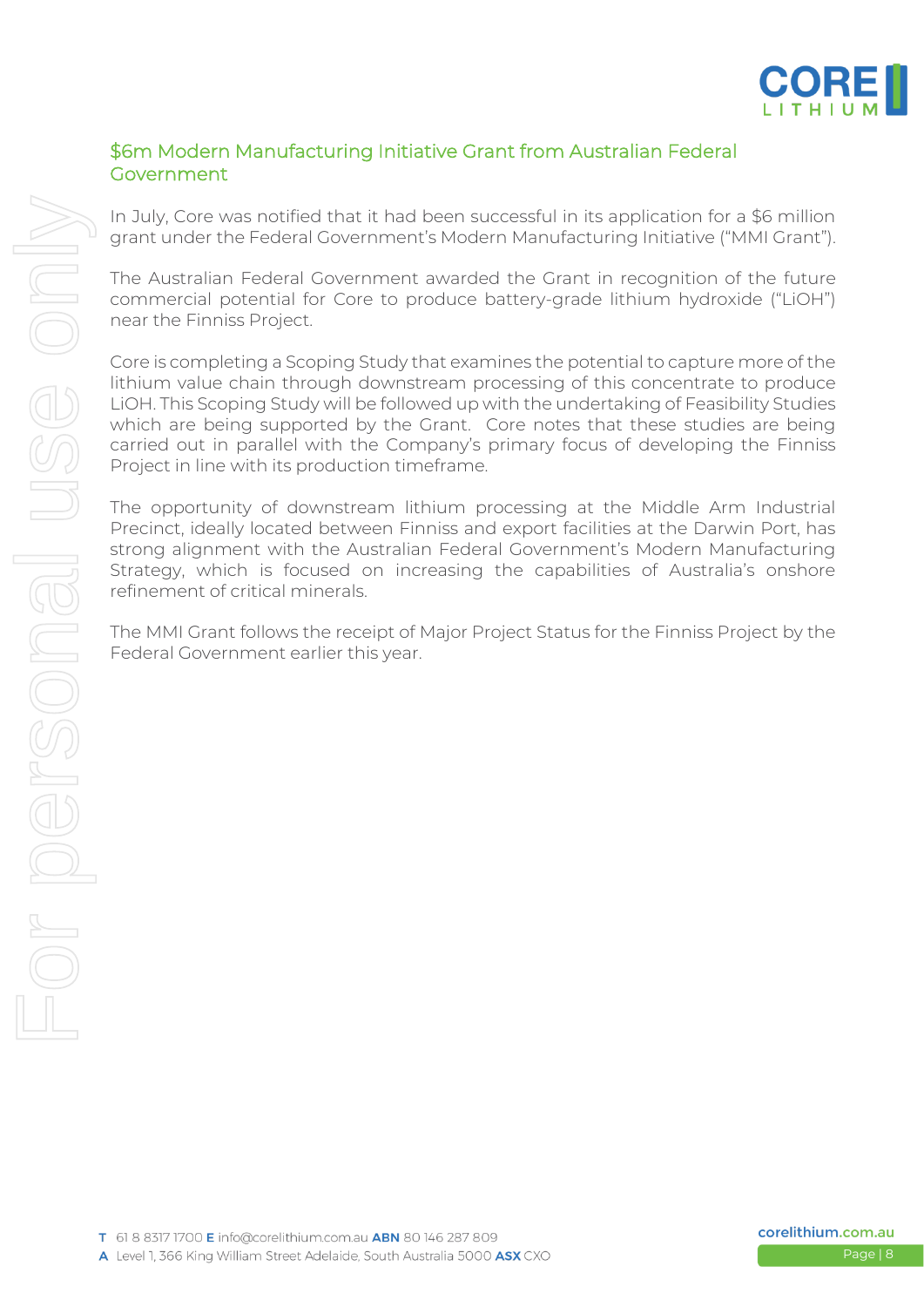

#### \$6m Modern Manufacturing Initiative Grant from Australian Federal Government

In July, Core was notified that it had been successful in its application for a \$6 million grant under the Federal Government's Modern Manufacturing Initiative ("MMI Grant").

The Australian Federal Government awarded the Grant in recognition of the future commercial potential for Core to produce battery-grade lithium hydroxide ("LiOH") near the Finniss Project.

Core is completing a Scoping Study that examines the potential to capture more of the lithium value chain through downstream processing of this concentrate to produce LiOH. This Scoping Study will be followed up with the undertaking of Feasibility Studies which are being supported by the Grant. Core notes that these studies are being carried out in parallel with the Company's primary focus of developing the Finniss Project in line with its production timeframe.

The opportunity of downstream lithium processing at the Middle Arm Industrial Precinct, ideally located between Finniss and export facilities at the Darwin Port, has strong alignment with the Australian Federal Government's Modern Manufacturing Strategy, which is focused on increasing the capabilities of Australia's onshore refinement of critical minerals.

The MMI Grant follows the receipt of Major Project Status for the Finniss Project by the Federal Government earlier this year.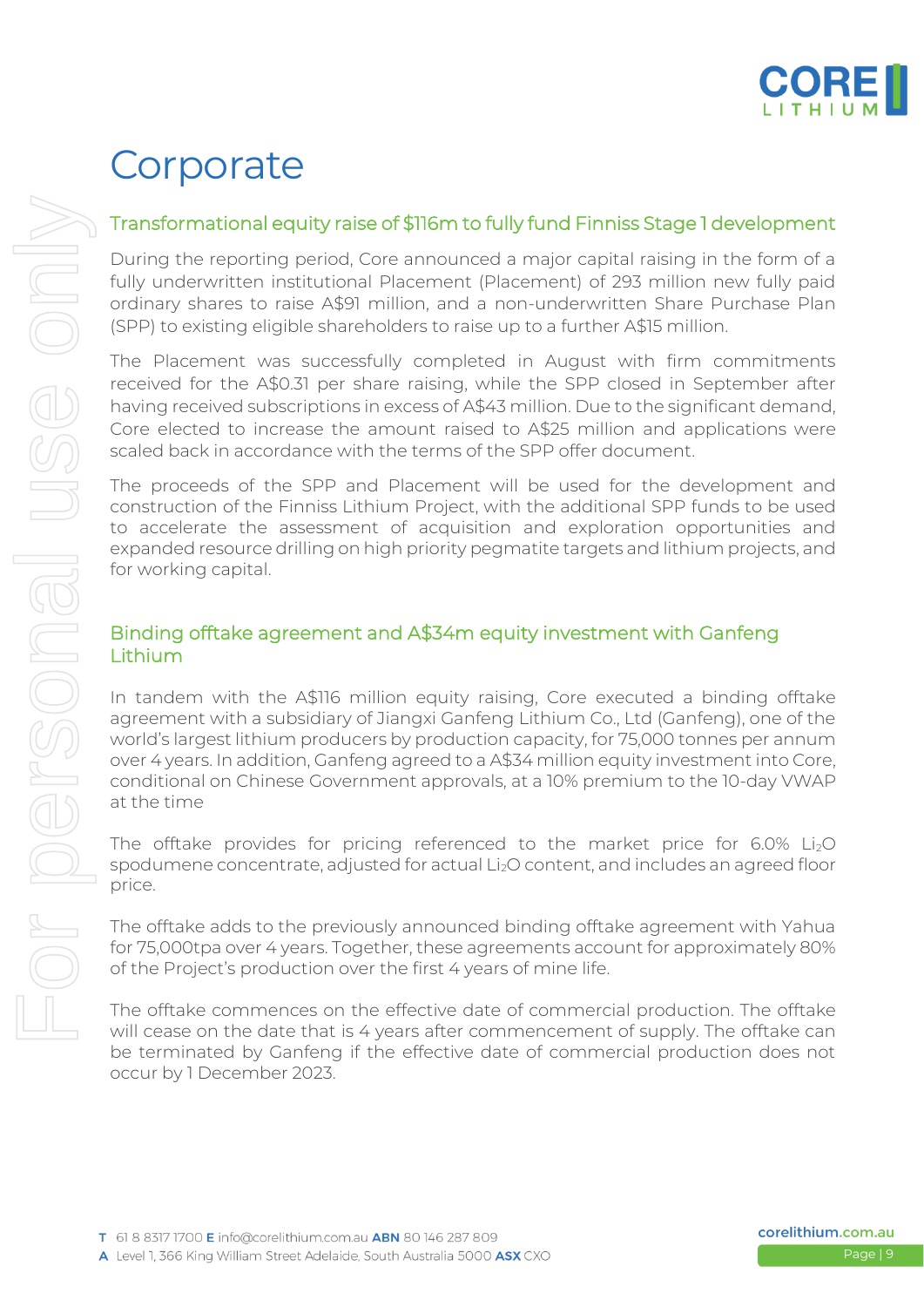

### **Corporate**

#### Transformational equity raise of \$116m to fully fund Finniss Stage 1 development

During the reporting period, Core announced a major capital raising in the form of a fully underwritten institutional Placement (Placement) of 293 million new fully paid ordinary shares to raise A\$91 million, and a non-underwritten Share Purchase Plan (SPP) to existing eligible shareholders to raise up to a further A\$15 million.

The Placement was successfully completed in August with firm commitments received for the A\$0.31 per share raising, while the SPP closed in September after having received subscriptions in excess of A\$43 million. Due to the significant demand, Core elected to increase the amount raised to A\$25 million and applications were scaled back in accordance with the terms of the SPP offer document.

The proceeds of the SPP and Placement will be used for the development and construction of the Finniss Lithium Project, with the additional SPP funds to be used to accelerate the assessment of acquisition and exploration opportunities and expanded resource drilling on high priority pegmatite targets and lithium projects, and for working capital.

#### Binding offtake agreement and A\$34m equity investment with Ganfeng **Lithium**

In tandem with the A\$116 million equity raising, Core executed a binding offtake agreement with a subsidiary of Jiangxi Ganfeng Lithium Co., Ltd (Ganfeng), one of the world's largest lithium producers by production capacity, for 75,000 tonnes per annum over 4 years. In addition, Ganfeng agreed to a A\$34 million equity investment into Core, conditional on Chinese Government approvals, at a 10% premium to the 10-day VWAP at the time

The offtake provides for pricing referenced to the market price for  $6.0\%$  Li<sub>2</sub>O spodumene concentrate, adjusted for actual Li<sub>2</sub>O content, and includes an agreed floor price.

The offtake adds to the previously announced binding offtake agreement with Yahua for 75,000tpa over 4 years. Together, these agreements account for approximately 80% of the Project's production over the first 4 years of mine life.

The offtake commences on the effective date of commercial production. The offtake will cease on the date that is 4 years after commencement of supply. The offtake can be terminated by Ganfeng if the effective date of commercial production does not occur by 1 December 2023.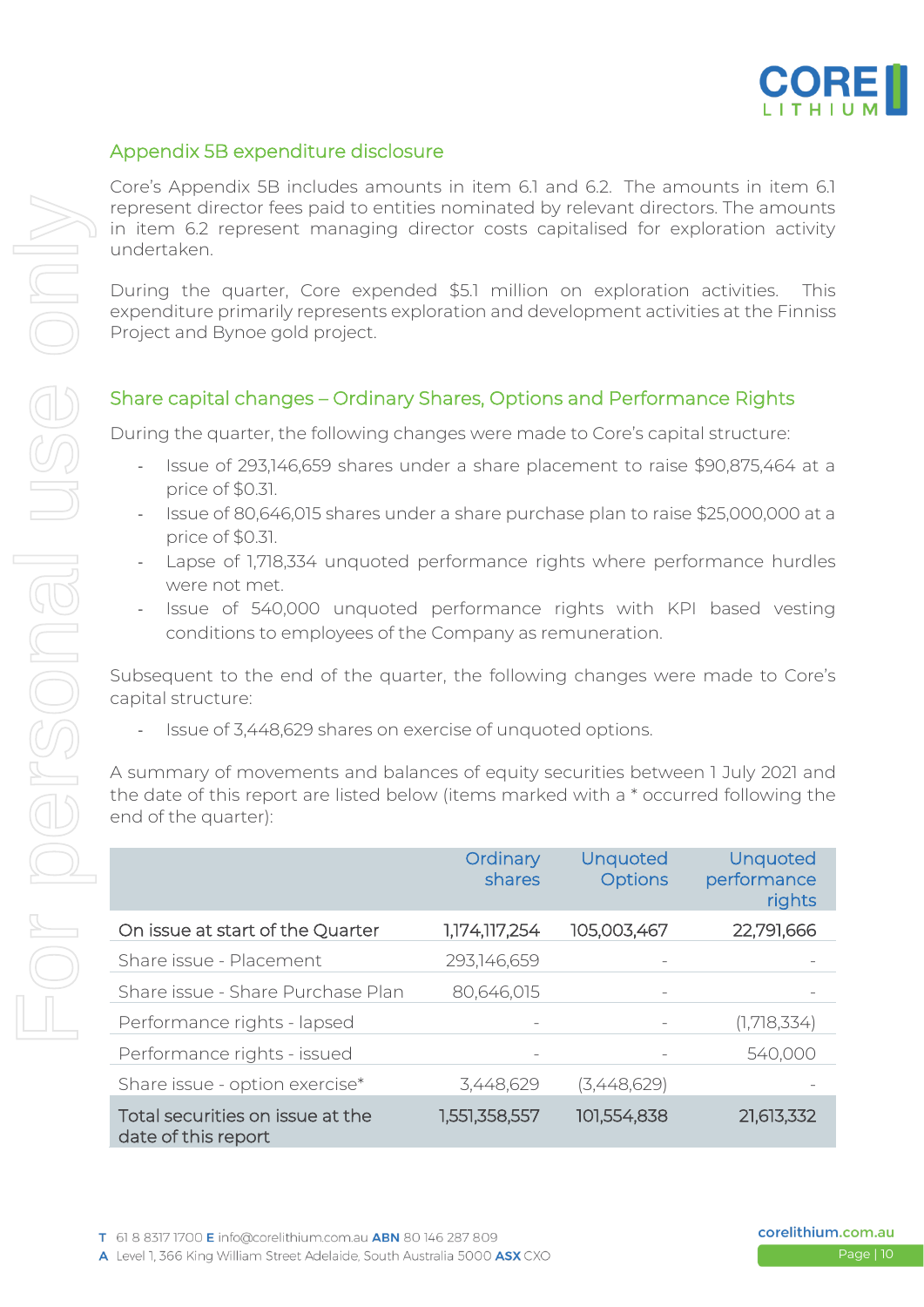

#### Appendix 5B expenditure disclosure

Core's Appendix 5B includes amounts in item 6.1 and 6.2. The amounts in item 6.1 represent director fees paid to entities nominated by relevant directors. The amounts in item 6.2 represent managing director costs capitalised for exploration activity undertaken.

During the quarter, Core expended \$5.1 million on exploration activities. This expenditure primarily represents exploration and development activities at the Finniss Project and Bynoe gold project.

#### Share capital changes – Ordinary Shares, Options and Performance Rights

During the quarter, the following changes were made to Core's capital structure:

- Issue of 293,146,659 shares under a share placement to raise \$90,875,464 at a price of \$0.31.
- Issue of 80,646,015 shares under a share purchase plan to raise \$25,000,000 at a price of \$0.31.
- Lapse of 1,718,334 unquoted performance rights where performance hurdles were not met.
- Issue of 540,000 unquoted performance rights with KPI based vesting conditions to employees of the Company as remuneration.

Subsequent to the end of the quarter, the following changes were made to Core's capital structure:

Issue of 3,448,629 shares on exercise of unquoted options.

A summary of movements and balances of equity securities between 1 July 2021 and the date of this report are listed below (items marked with a \* occurred following the end of the quarter):

|                                                         | Ordinary<br>shares | Unquoted<br><b>Options</b> | Unquoted<br>performance<br>rights |
|---------------------------------------------------------|--------------------|----------------------------|-----------------------------------|
| On issue at start of the Quarter                        | 1,174,117,254      | 105,003,467                | 22,791,666                        |
| Share issue - Placement                                 | 293,146,659        |                            | -                                 |
| Share issue - Share Purchase Plan                       | 80,646,015         |                            |                                   |
| Performance rights - lapsed                             |                    |                            | (1,718,334)                       |
| Performance rights - issued                             |                    |                            | 540,000                           |
| Share issue - option exercise*                          | 3,448,629          | (3,448,629)                |                                   |
| Total securities on issue at the<br>date of this report | 1,551,358,557      | 101,554,838                | 21,613,332                        |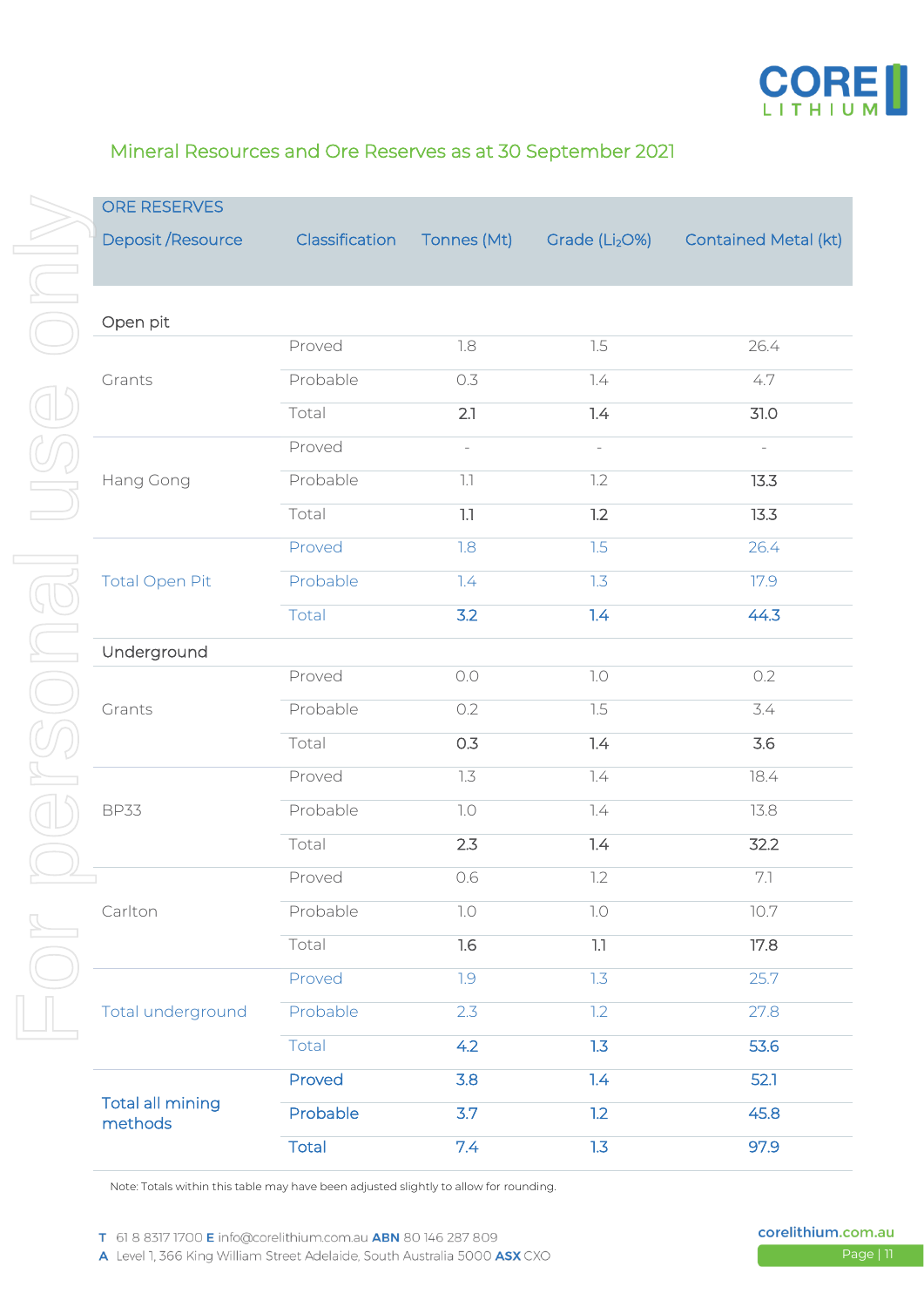

#### Mineral Resources and Ore Reserves as at 30 September 2021

| Deposit / Resource                 | Classification                                                                                                                        | Tonnes (Mt)              | Grade (Li <sub>2</sub> O%) | <b>Contained Metal (kt)</b> |
|------------------------------------|---------------------------------------------------------------------------------------------------------------------------------------|--------------------------|----------------------------|-----------------------------|
| Open pit                           |                                                                                                                                       |                          |                            |                             |
|                                    | Proved                                                                                                                                | 1.8                      | 7.5                        | 26.4                        |
| Grants                             | Probable                                                                                                                              | 0.3                      | 7.4                        | 4.7                         |
|                                    | Total                                                                                                                                 | 2.1                      | 1.4                        | 31.0                        |
|                                    | Proved                                                                                                                                | $\overline{\phantom{0}}$ |                            |                             |
| Hang Gong                          | Probable                                                                                                                              | $\lceil . \rceil$        | 1.2                        | 13.3                        |
|                                    | Total                                                                                                                                 | 1.1                      | 1.2                        | 13.3                        |
|                                    | Proved                                                                                                                                | 1.8                      | 1.5                        | 26.4                        |
| <b>Total Open Pit</b>              | Probable                                                                                                                              | 7.4                      | 1.3                        | 17.9                        |
|                                    | Total                                                                                                                                 | 3.2                      | 1.4                        | 44.3                        |
| Underground                        |                                                                                                                                       |                          |                            |                             |
|                                    | Proved                                                                                                                                | $O.O$                    | 7.0                        | 0.2                         |
| Grants                             | Probable                                                                                                                              | 0.2                      | 7.5                        | 3.4                         |
|                                    | Total<br>0.3<br>Proved<br>7.3<br>Probable<br>7.0<br>2.3<br>Total<br>Proved<br>0.6<br>7.0<br>Probable<br>Total<br>1.6<br>Proved<br>1.9 | 1.4                      | 3.6                        |                             |
|                                    |                                                                                                                                       |                          | 7.4                        | 18.4                        |
| <b>BP33</b>                        |                                                                                                                                       |                          | 7.4                        | 13.8                        |
|                                    |                                                                                                                                       |                          | 1.4                        | 32.2                        |
| L                                  |                                                                                                                                       |                          | 1.2                        | 7.1                         |
| Carlton                            |                                                                                                                                       |                          | 7.0                        | 10.7                        |
|                                    |                                                                                                                                       |                          | 1.1                        | 17.8                        |
|                                    |                                                                                                                                       |                          | 1.3                        | 25.7                        |
| Total underground                  | Probable                                                                                                                              | 2.3                      | 1.2                        | 27.8                        |
|                                    | Total                                                                                                                                 | 4.2                      | 1.3                        | 53.6                        |
|                                    | Proved                                                                                                                                | 3.8                      | 1.4                        | 52.1                        |
| <b>Total all mining</b><br>methods | Probable                                                                                                                              | 3.7                      | 1.2                        | 45.8                        |
|                                    | Total                                                                                                                                 | 7.4                      | 1.3                        | 97.9                        |

Note: Totals within this table may have been adjusted slightly to allow for rounding.

A Level 1, 366 King William Street Adelaide, South Australia 5000 ASX CXO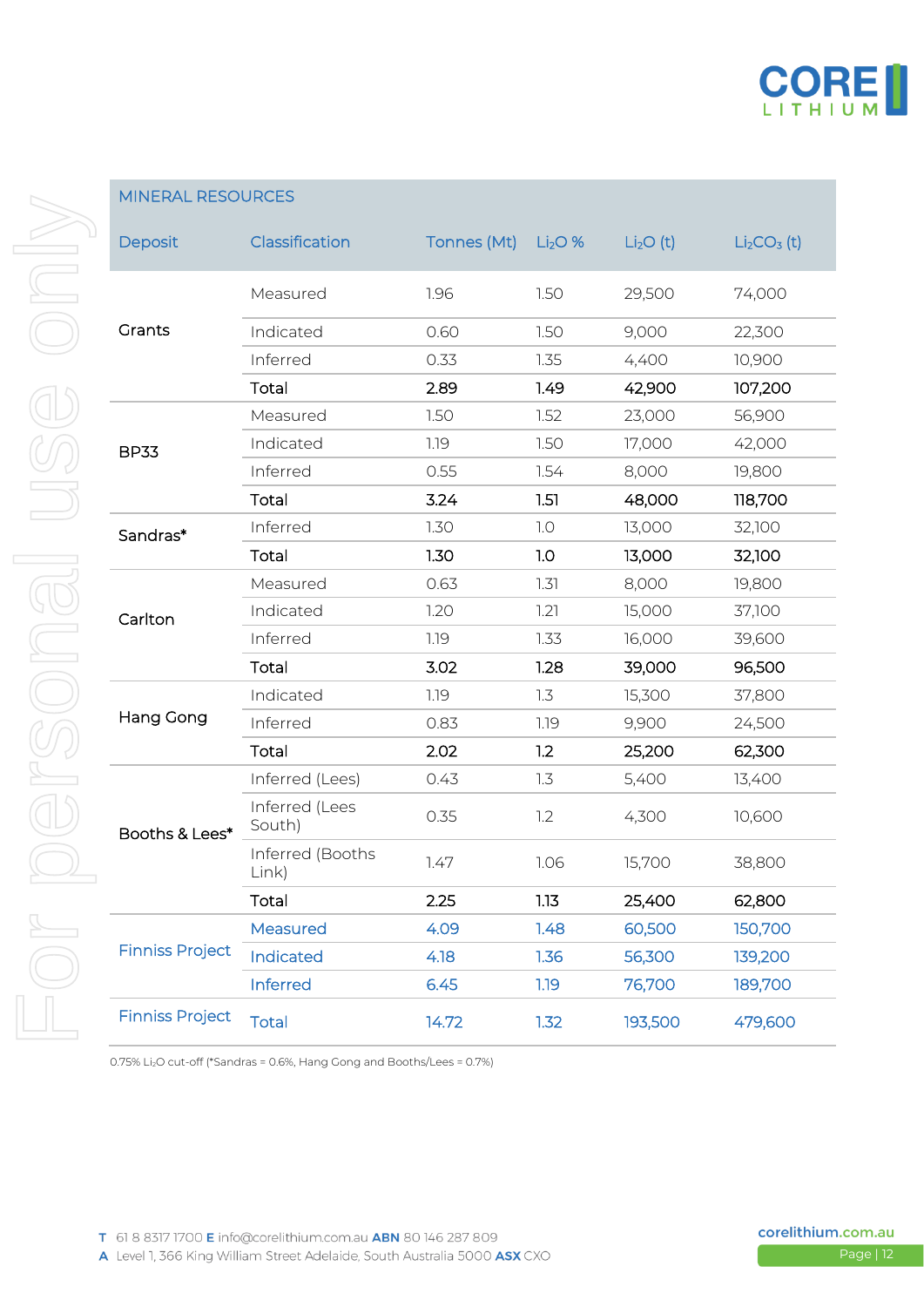

| Deposit                | Classification            | Tonnes (Mt) | $Li2O$ % | Li <sub>2</sub> O(t) | $Li2CO3$ (t) |
|------------------------|---------------------------|-------------|----------|----------------------|--------------|
|                        | Measured                  | 1.96        | 1.50     | 29,500               | 74,000       |
| Grants                 | Indicated                 | 0.60        | 1.50     | 9,000                | 22,300       |
|                        | Inferred                  | 0.33        | 1.35     | 4,400                | 10,900       |
|                        | Total                     | 2.89        | 1.49     | 42,900               | 107,200      |
|                        | Measured                  | 1.50        | 1.52     | 23,000               | 56,900       |
| <b>BP33</b>            | Indicated                 | 1.19        | 1.50     | 17,000               | 42,000       |
|                        | Inferred                  | 0.55        | 1.54     | 8,000                | 19,800       |
|                        | Total                     | 3.24        | 1.51     | 48,000               | 118,700      |
| Sandras*               | Inferred                  | 1.30        | 1.0      | 13,000               | 32,100       |
|                        | Total                     | 1.30        | 1.0      | 13,000               | 32,100       |
|                        | Measured                  | 0.63        | 1.31     | 8,000                | 19,800       |
| Carlton                | Indicated                 | 1.20        | 1.21     | 15,000               | 37,100       |
|                        | Inferred                  | 1.19        | 1.33     | 16,000               | 39,600       |
|                        | Total                     | 3.02        | 1.28     | 39,000               | 96,500       |
|                        | Indicated                 | 1.19        | 1.3      | 15,300               | 37,800       |
| <b>Hang Gong</b>       | Inferred                  | 0.83        | 1.19     | 9,900                | 24,500       |
|                        | Total                     | 2.02        | 1.2      | 25,200               | 62,300       |
|                        | Inferred (Lees)           | 0.43        | 1.3      | 5,400                | 13,400       |
| Booths & Lees*         | Inferred (Lees<br>South)  | 0.35        | 1.2      | 4,300                | 10,600       |
|                        | Inferred (Booths<br>Link) | 1.47        | 1.06     | 15,700               | 38,800       |
|                        | Total                     | 2.25        | 1.13     | 25,400               | 62,800       |
|                        | Measured                  | 4.09        | 1.48     | 60,500               | 150,700      |
| <b>Finniss Project</b> | <b>Indicated</b>          | 4.18        | 1.36     | 56,300               | 139,200      |
|                        | Inferred                  | 6.45        | 1.19     | 76,700               | 189,700      |
| <b>Finniss Project</b> | <b>Total</b>              | 14.72       | 1.32     | 193,500              | 479,600      |

0.75% Li2O cut-off (\*Sandras = 0.6%, Hang Gong and Booths/Lees = 0.7%)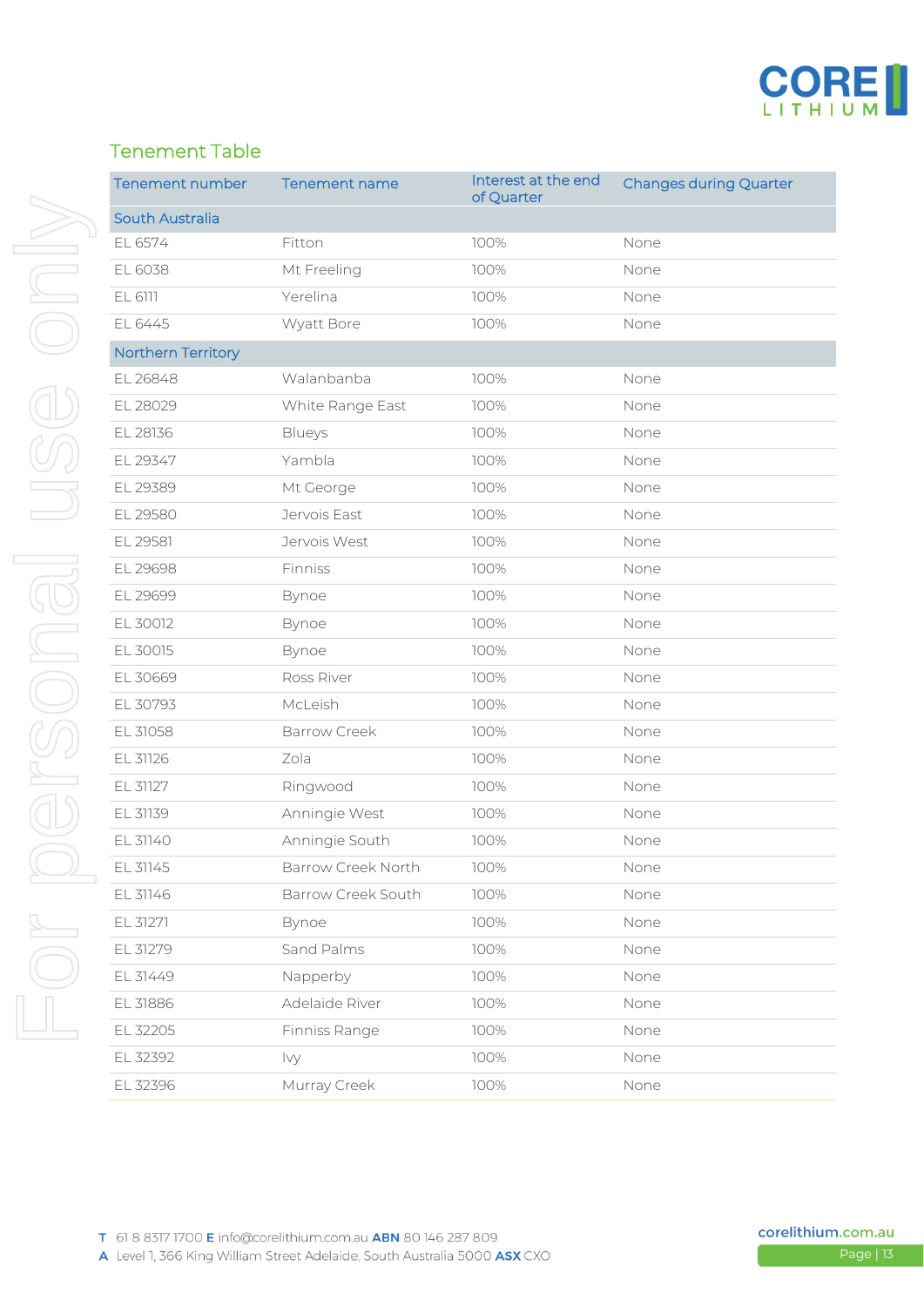

#### Tenement Table

| <b>Tenement number</b> | <b>Tenement name</b> | Interest at the end<br>of Quarter | <b>Changes during Quarter</b> |
|------------------------|----------------------|-----------------------------------|-------------------------------|
| South Australia        |                      |                                   |                               |
| EL 6574                | Fitton               | 100%                              | None                          |
| EL 6038                | Mt Freeling          | 100%                              | None                          |
| EL 6111                | Yerelina             | 100%                              | None                          |
| EL 6445                | Wyatt Bore           | 100%                              | None                          |
| Northern Territory     |                      |                                   |                               |
| EL 26848               | Walanbanba           | 100%                              | None                          |
| EL 28029               | White Range East     | 100%                              | None                          |
| EL 28136               | Blueys               | 100%                              | None                          |
| EL 29347               | Yambla               | 100%                              | None                          |
| EL 29389               | Mt George            | 100%                              | None                          |
| EL 29580               | Jervois East         | 100%                              | None                          |
| EL 29581               | Jervois West         | 100%                              | None                          |
| EL 29698               | Finniss              | 100%                              | None                          |
| EL 29699               | Bynoe                | 100%                              | None                          |
| EL 30012               | Bynoe                | 100%                              | None                          |
| EL 30015               | Bynoe                | 100%                              | None                          |
| EL 30669               | Ross River           | 100%                              | None                          |
| EL 30793               | McLeish              | 100%                              | None                          |
| EL 31058               | <b>Barrow Creek</b>  | 100%                              | None                          |
| EL 31126               | Zola                 | 100%                              | None                          |
| EL 31127               | Ringwood             | 100%                              | None                          |
| EL 31139               | Anningie West        | 100%                              | None                          |
| EL 31140               | Anningie South       | 100%                              | None                          |
| EL 31145               | Barrow Creek North   | 100%                              | None                          |
| EL 31146               | Barrow Creek South   | 100%                              | None                          |
| EL 31271               | Bynoe                | 100%                              | None                          |
| EL 31279               | Sand Palms           | 100%                              | None                          |
| EL 31449               | Napperby             | 100%                              | None                          |
| EL 31886               | Adelaide River       | 100%                              | None                          |
| EL 32205               | Finniss Range        | 100%                              | None                          |
| EL 32392               | Ivy                  | 100%                              | None                          |
| EL 32396               | Murray Creek         | 100%                              | None                          |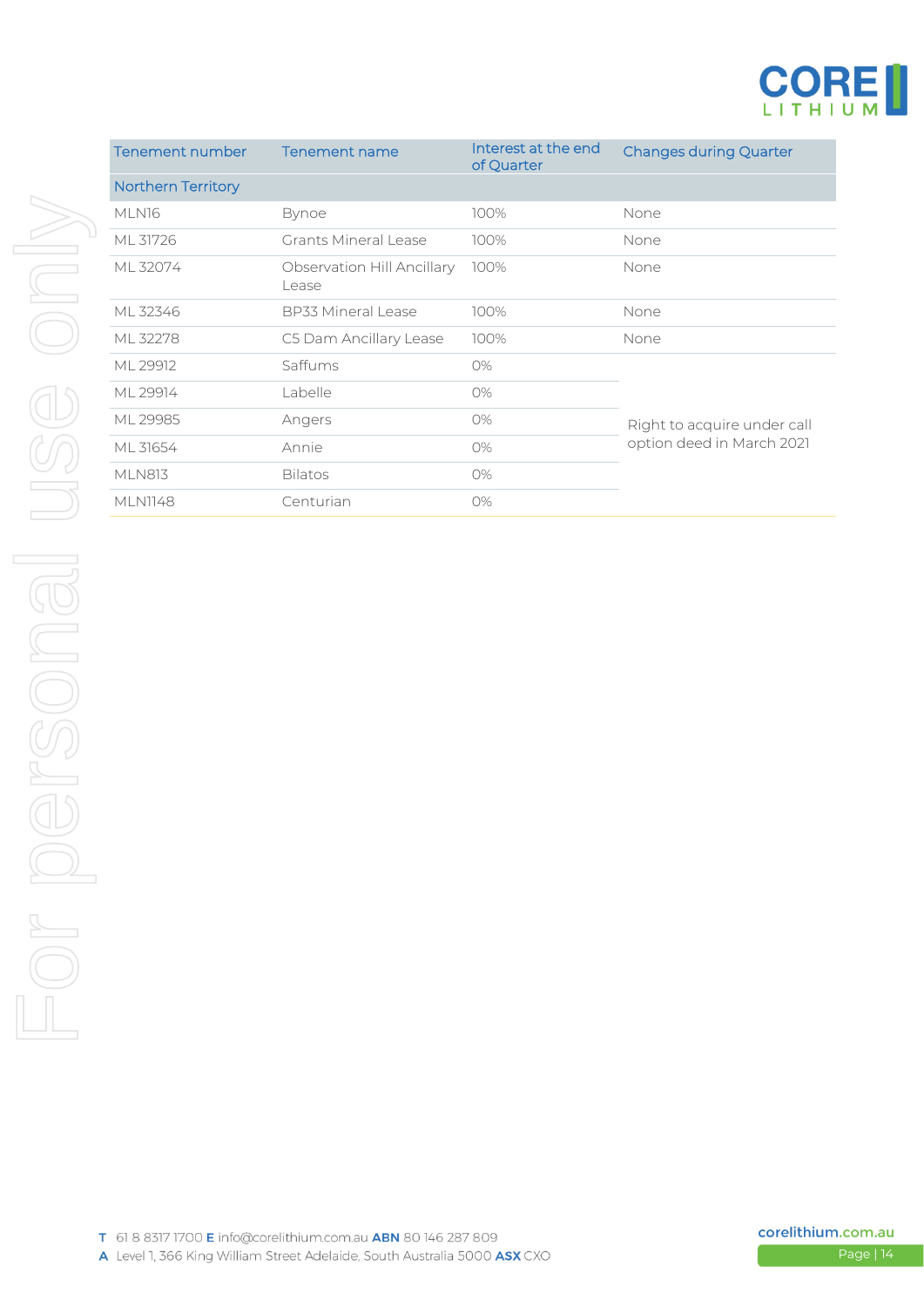

| Tenement number           | Tenement name                       | Interest at the end<br>of Quarter | <b>Changes during Quarter</b> |  |
|---------------------------|-------------------------------------|-----------------------------------|-------------------------------|--|
| <b>Northern Territory</b> |                                     |                                   |                               |  |
| MLN16                     | <b>Bynoe</b>                        | 100%                              | None                          |  |
| ML 31726                  | Grants Mineral Lease                | 100%                              | None                          |  |
| ML 32074                  | Observation Hill Ancillary<br>Lease | 100%                              | None                          |  |
| ML 32346                  | <b>BP33 Mineral Lease</b>           | 100%                              | None                          |  |
| ML 32278                  | C5 Dam Ancillary Lease              | 100%                              | None                          |  |
| ML 29912                  | Saffums                             | O%                                |                               |  |
| ML 29914                  | Labelle                             | 0%                                |                               |  |
| ML 29985                  | Angers                              | 0%                                | Right to acquire under call   |  |
| ML 31654                  | Annie                               | O%                                | option deed in March 2021     |  |
| <b>MLN813</b>             | <b>Bilatos</b>                      | 0%                                |                               |  |
| <b>MLN1148</b>            | Centurian                           | 0%                                |                               |  |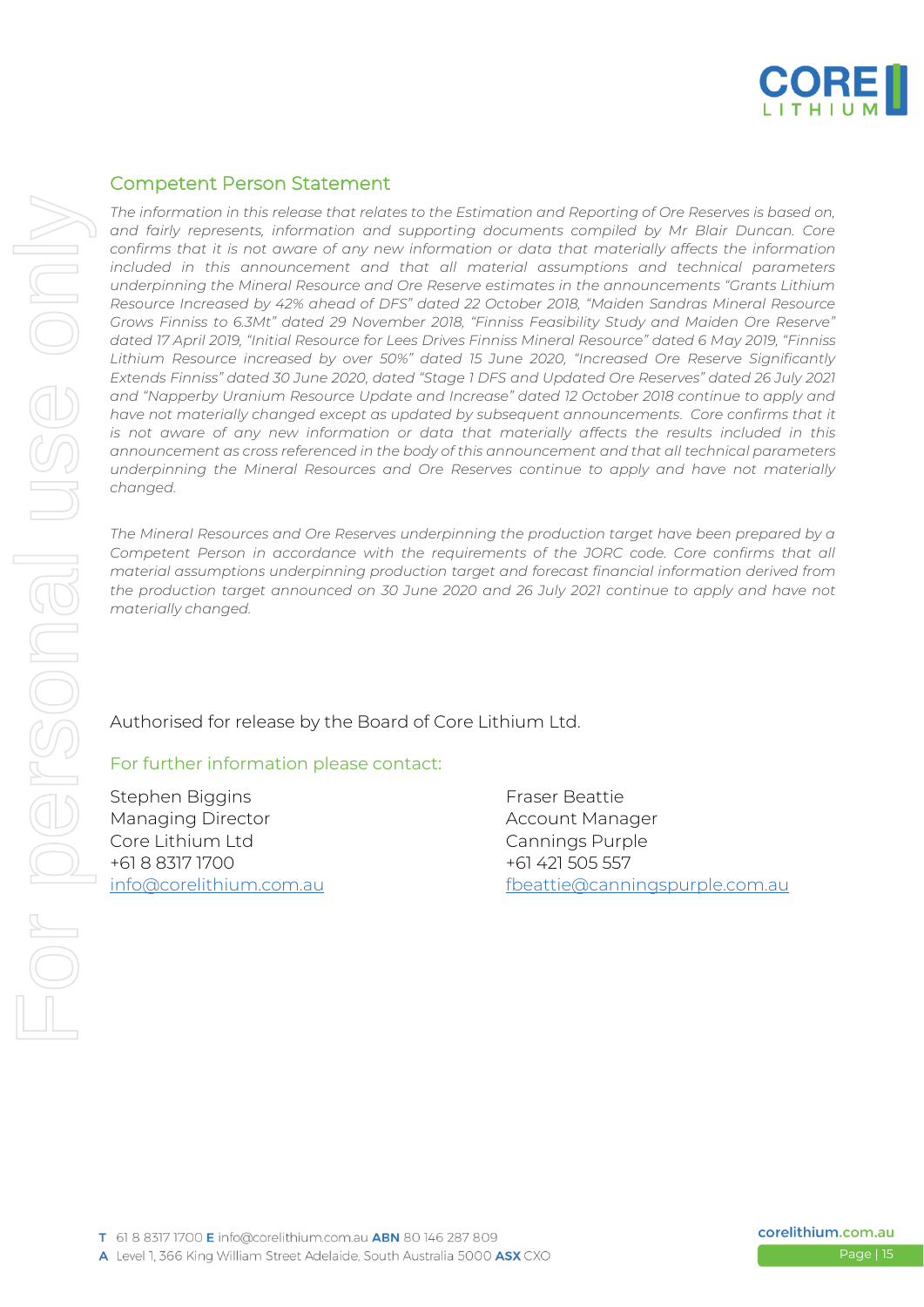

#### Competent Person Statement

*The information in this release that relates to the Estimation and Reporting of Ore Reserves is based on, and fairly represents, information and supporting documents compiled by Mr Blair Duncan. Core confirms that it is not aware of any new information or data that materially affects the information included in this announcement and that all material assumptions and technical parameters underpinning the Mineral Resource and Ore Reserve estimates in the announcements "Grants Lithium Resource Increased by 42% ahead of DFS" dated 22 October 2018, "Maiden Sandras Mineral Resource Grows Finniss to 6.3Mt" dated 29 November 2018, "Finniss Feasibility Study and Maiden Ore Reserve" dated 17 April 2019, "Initial Resource for Lees Drives Finniss Mineral Resource" dated 6 May 2019, "Finniss Lithium Resource increased by over 50%" dated 15 June 2020, "Increased Ore Reserve Significantly Extends Finniss" dated 30 June 2020, dated "Stage 1 DFS and Updated Ore Reserves" dated 26 July 2021 and "Napperby Uranium Resource Update and Increase" dated 12 October 2018 continue to apply and have not materially changed except as updated by subsequent announcements. Core confirms that it is not aware of any new information or data that materially affects the results included in this announcement as cross referenced in the body of this announcement and that all technical parameters underpinning the Mineral Resources and Ore Reserves continue to apply and have not materially changed.*

*The Mineral Resources and Ore Reserves underpinning the production target have been prepared by a Competent Person in accordance with the requirements of the JORC code. Core confirms that all material assumptions underpinning production target and forecast financial information derived from the production target announced on 30 June 2020 and 26 July 2021 continue to apply and have not materially changed.*

Authorised for release by the Board of Core Lithium Ltd.

#### For further information please contact:

Stephen Biggins Fraser Beattie Managing Director **Account Manager** Account Manager Core Lithium Ltd Cannings Purple +61 8 8317 1700 +61 421 505 557

[info@corelithium.com.au](mailto:info@corelithium.com.au) [fbeattie@canningspurple.com.au](mailto:fbeattie@canningspurple.com.au)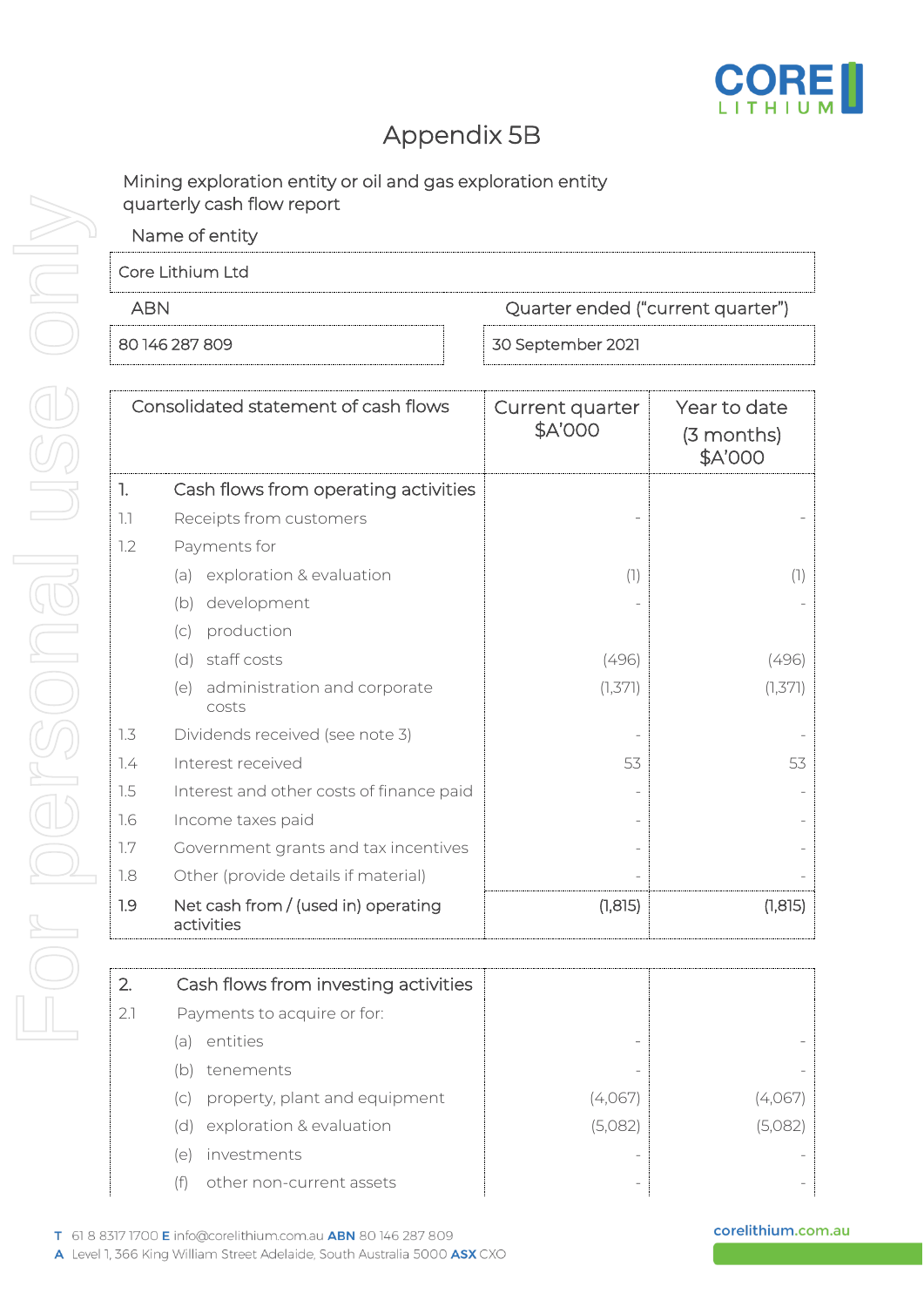

### Appendix 5B

Mining exploration entity or oil and gas exploration entity quarterly cash flow report

| Name of entity   |                                   |
|------------------|-----------------------------------|
| Core Lithium Ltd |                                   |
| ARN              | Quarter ended ("current quarter") |
| 80 146 287 809   | 30 September 2021                 |

|     | Consolidated statement of cash flows              | Current quarter<br>\$A'000 | Year to date<br>(3 months)<br>\$A'000 |
|-----|---------------------------------------------------|----------------------------|---------------------------------------|
| 1.  | Cash flows from operating activities              |                            |                                       |
| 1.1 | Receipts from customers                           |                            |                                       |
| 1.2 | Payments for                                      |                            |                                       |
|     | exploration & evaluation<br>(a)                   | (1)                        | (1)                                   |
|     | development<br>(b)                                |                            |                                       |
|     | production<br>(c)                                 |                            |                                       |
|     | staff costs<br>(d)                                | (496)                      | (496)                                 |
|     | administration and corporate<br>(e)<br>costs      | (1, 371)                   | (1,371)                               |
| 1.3 | Dividends received (see note 3)                   |                            |                                       |
| 7.4 | Interest received                                 | 53                         | 53                                    |
| 1.5 | Interest and other costs of finance paid          |                            |                                       |
| 1.6 | Income taxes paid                                 |                            |                                       |
| 1.7 | Government grants and tax incentives              |                            |                                       |
| 1.8 | Other (provide details if material)               |                            |                                       |
| 1.9 | Net cash from / (used in) operating<br>activities | (1, 815)                   | (1, 815)                              |

|     | Cash flows from investing activities |         |         |
|-----|--------------------------------------|---------|---------|
| 2.1 | Payments to acquire or for:          |         |         |
|     | entities<br>a                        |         |         |
|     | tenements<br>(b)                     |         |         |
|     | property, plant and equipment<br>(C) | (4,067) | 4.067   |
|     | exploration & evaluation<br>(d)      | (5,082) | (5,082) |
|     | investments<br>le                    |         |         |
|     | other non-current assets             |         |         |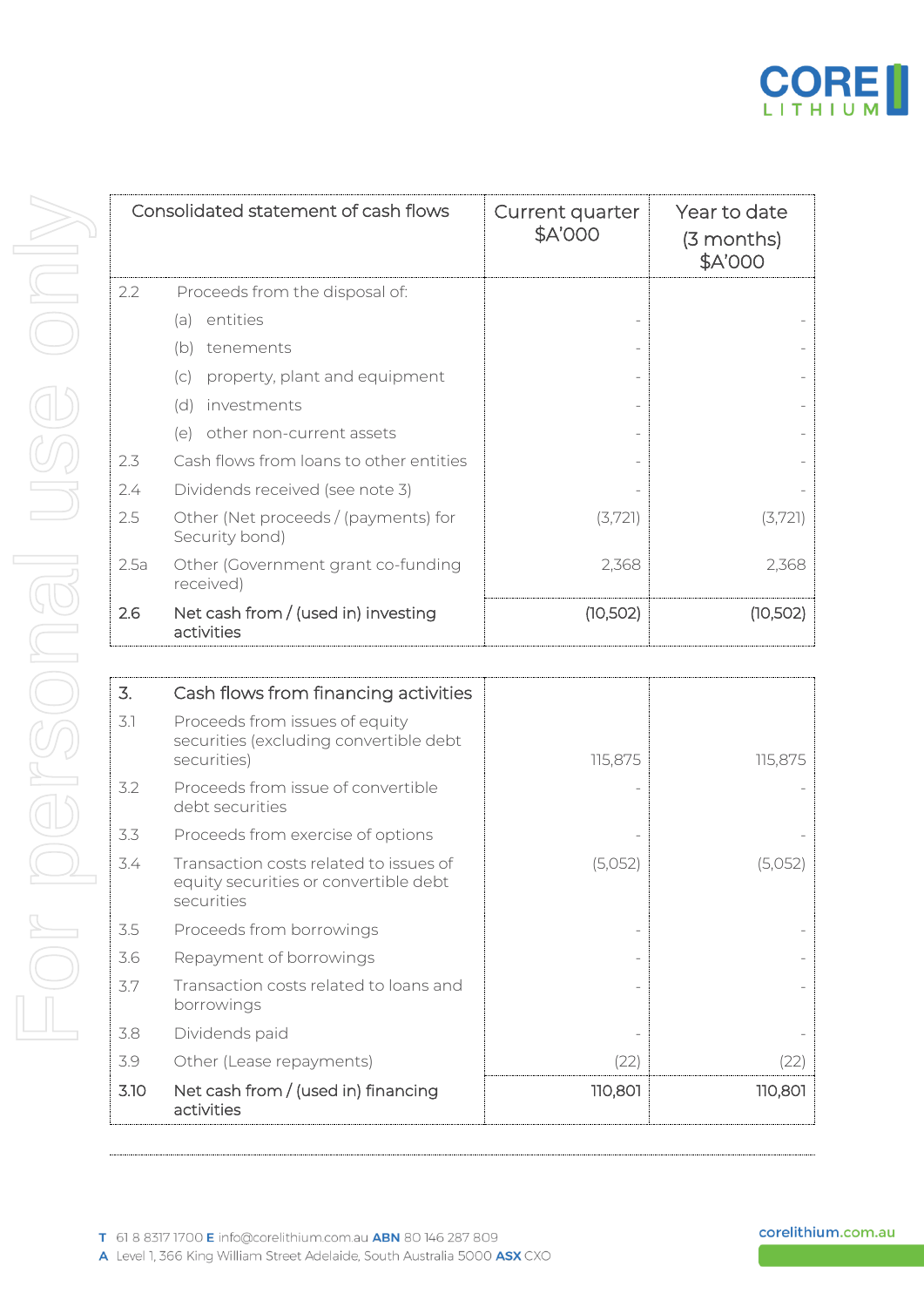

|      | Consolidated statement of cash flows                                                          | Current quarter<br>\$A'000 | Year to date<br>(3 months)<br>\$A'000 |
|------|-----------------------------------------------------------------------------------------------|----------------------------|---------------------------------------|
| 2.2  | Proceeds from the disposal of:                                                                |                            |                                       |
|      | entities<br>(a)                                                                               |                            |                                       |
|      | tenements<br>(b)                                                                              |                            |                                       |
|      | property, plant and equipment<br>(C)                                                          |                            |                                       |
|      | investments<br>(d)                                                                            |                            |                                       |
|      | other non-current assets<br>(e)                                                               |                            |                                       |
| 2.3  | Cash flows from loans to other entities                                                       |                            |                                       |
| 2.4  | Dividends received (see note 3)                                                               |                            |                                       |
| 2.5  | Other (Net proceeds / (payments) for<br>Security bond)                                        | (3,721)                    | (3,721)                               |
| 2.5a | Other (Government grant co-funding<br>received)                                               | 2,368                      | 2,368                                 |
| 2.6  | Net cash from / (used in) investing<br>activities                                             | (10, 502)                  | (10, 502)                             |
|      |                                                                                               |                            |                                       |
| 3.   | Cash flows from financing activities                                                          |                            |                                       |
| 3.1  | Proceeds from issues of equity<br>securities (excluding convertible debt<br>securities)       | 115,875                    | 115,875                               |
| 3.2  | Proceeds from issue of convertible<br>debt securities                                         |                            |                                       |
| 3.3  | Proceeds from exercise of options                                                             |                            |                                       |
| 3.4  | Transaction costs related to issues of<br>equity securities or convertible debt<br>securities | (5,052)                    | (5,052)                               |
| 3.5  | Proceeds from borrowings                                                                      |                            |                                       |
| 3.6  | Repayment of borrowings                                                                       |                            |                                       |
| 3.7  | Transaction costs related to loans and<br>borrowings                                          |                            |                                       |
| 3.8  | Dividends paid                                                                                |                            |                                       |
| 3.9  | Other (Lease repayments)                                                                      | (22)                       | (22)                                  |
| 3.10 | Net cash from / (used in) financing                                                           | 110,801                    | 110,801                               |

| 3.   | Cash flows from financing activities                                                          |         |         |
|------|-----------------------------------------------------------------------------------------------|---------|---------|
| 3.1  | Proceeds from issues of equity<br>securities (excluding convertible debt<br>securities)       | 115,875 | 115,875 |
| 3.2  | Proceeds from issue of convertible<br>debt securities                                         |         |         |
| 3.3  | Proceeds from exercise of options                                                             |         |         |
| 3.4  | Transaction costs related to issues of<br>equity securities or convertible debt<br>securities | (5,052) | (5,052) |
| 3.5  | Proceeds from borrowings                                                                      |         |         |
| 3.6  | Repayment of borrowings                                                                       |         |         |
| 3.7  | Transaction costs related to loans and<br>borrowings                                          |         |         |
| 3.8  | Dividends paid                                                                                |         |         |
| 3.9  | Other (Lease repayments)                                                                      | (22)    | (22)    |
| 3.10 | Net cash from / (used in) financing<br>activities                                             | 110,801 | 110,801 |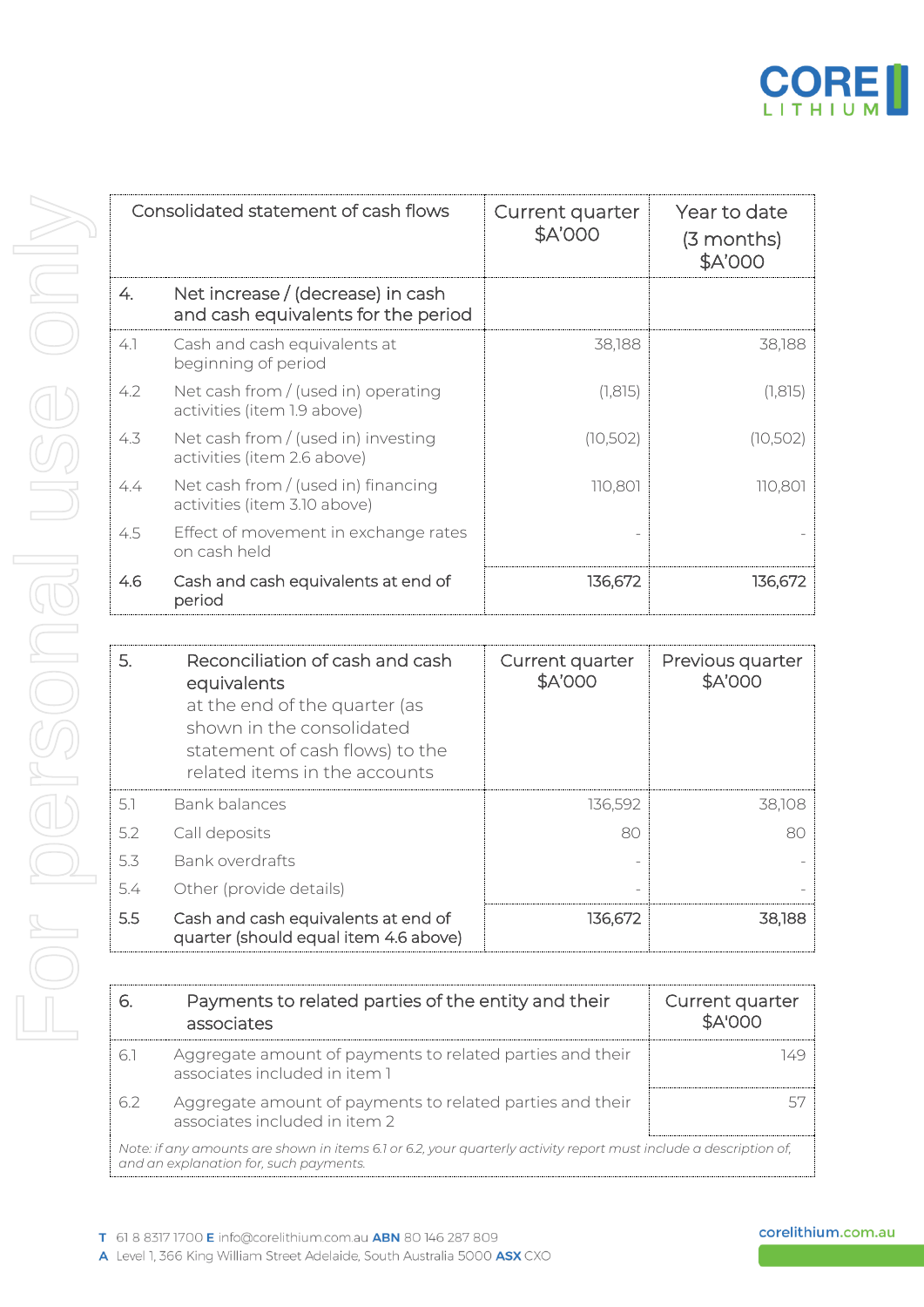

|     | Consolidated statement of cash flows                                     | Current quarter<br>\$A'000 | Year to date<br>(3 months)<br>\$A'000 |
|-----|--------------------------------------------------------------------------|----------------------------|---------------------------------------|
| 4.  | Net increase / (decrease) in cash<br>and cash equivalents for the period |                            |                                       |
| 4.1 | Cash and cash equivalents at<br>beginning of period                      | 38,188                     | 38,188                                |
| 4.2 | Net cash from $/$ (used in) operating<br>activities (item 1.9 above)     | (1, 815)                   | (1, 815)                              |
| 4.3 | Net cash from / (used in) investing<br>activities (item 2.6 above)       | (10, 502)                  | (10, 502)                             |
| 4.4 | Net cash from / (used in) financing<br>activities (item 3.10 above)      | 110,801                    | 110,801                               |
| 4.5 | Effect of movement in exchange rates<br>on cash held                     |                            |                                       |
| 4.6 | Cash and cash equivalents at end of<br>period                            | 136,672                    | 136,672                               |

| 5.  | Reconciliation of cash and cash<br>equivalents<br>at the end of the quarter (as<br>shown in the consolidated<br>statement of cash flows) to the<br>related items in the accounts | Current quarter<br>\$A'000 | Previous quarter<br>\$A'000 |
|-----|----------------------------------------------------------------------------------------------------------------------------------------------------------------------------------|----------------------------|-----------------------------|
| 5.1 | Bank balances                                                                                                                                                                    | 136,592                    | 38,108                      |
| 5.2 | Call deposits                                                                                                                                                                    | 80                         | 80                          |
| 5.3 | Bank overdrafts                                                                                                                                                                  |                            |                             |
| 5.4 | Other (provide details)                                                                                                                                                          |                            |                             |
| 5.5 | Cash and cash equivalents at end of<br>quarter (should equal item 4.6 above)                                                                                                     | 136,672                    | 38,188                      |

|                                                                                                                                                             | Payments to related parties of the entity and their<br>associates                          | Current quarter<br><b>\$A'000</b> |  |
|-------------------------------------------------------------------------------------------------------------------------------------------------------------|--------------------------------------------------------------------------------------------|-----------------------------------|--|
| 61                                                                                                                                                          | Aggregate amount of payments to related parties and their<br>associates included in item 1 |                                   |  |
| 62                                                                                                                                                          | Aggregate amount of payments to related parties and their<br>associates included in item 2 |                                   |  |
| Note: if any amounts are shown in items 6.1 or 6.2, your quarterly activity report must include a description of,<br>and an explanation for, such payments. |                                                                                            |                                   |  |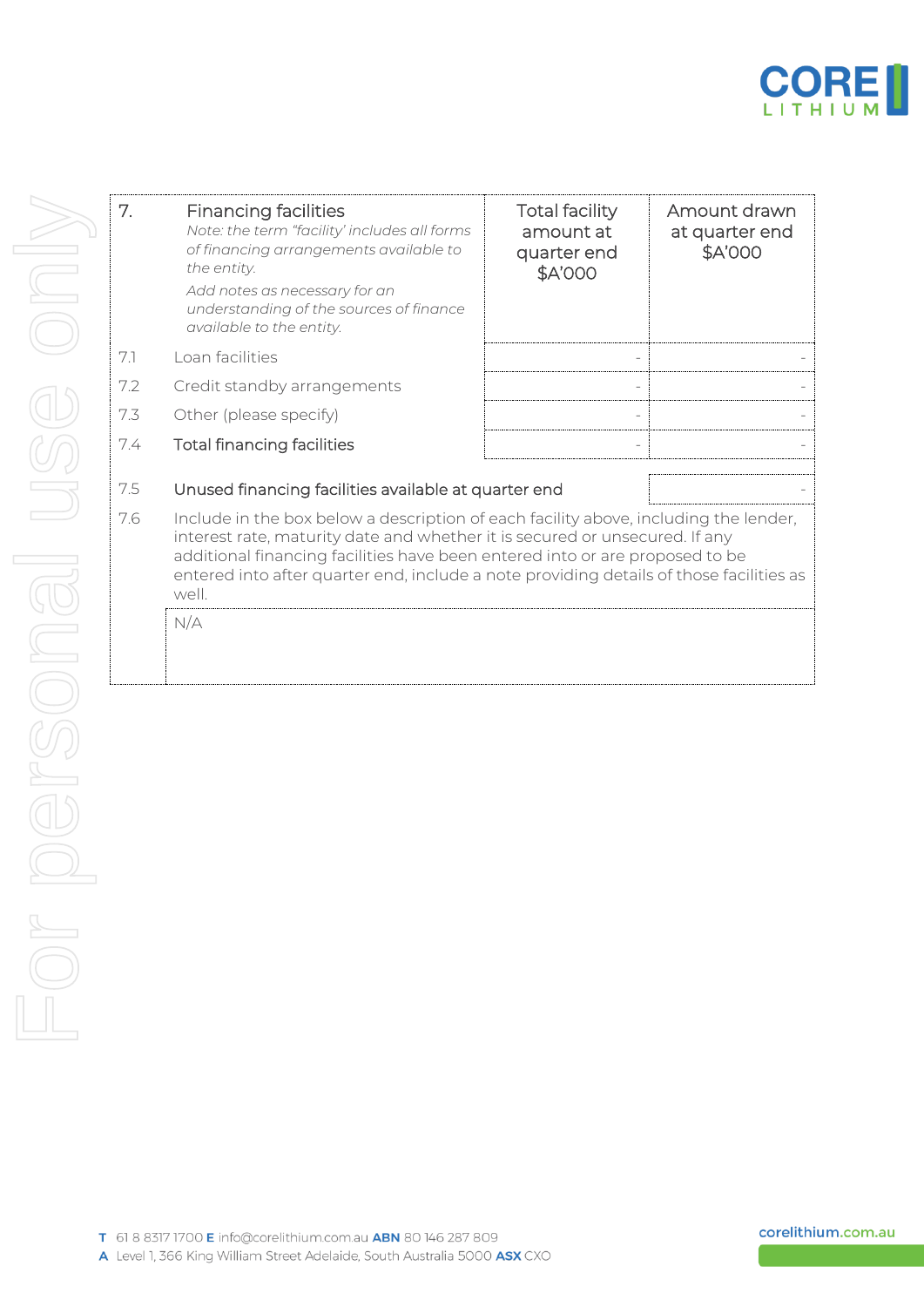

| 7.  | <b>Financing facilities</b><br>Note: the term "facility' includes all forms<br>of financing arrangements available to<br>the entity.<br>Add notes as necessary for an<br>understanding of the sources of finance<br>available to the entity.                                                                                                            | <b>Total facility</b><br>amount at<br>quarter end<br>\$A'000 | Amount drawn<br>at quarter end<br>\$A'000 |  |
|-----|---------------------------------------------------------------------------------------------------------------------------------------------------------------------------------------------------------------------------------------------------------------------------------------------------------------------------------------------------------|--------------------------------------------------------------|-------------------------------------------|--|
| 7.1 | Loan facilities                                                                                                                                                                                                                                                                                                                                         |                                                              |                                           |  |
| 7.2 | Credit standby arrangements                                                                                                                                                                                                                                                                                                                             |                                                              |                                           |  |
| 7.3 | Other (please specify)                                                                                                                                                                                                                                                                                                                                  |                                                              |                                           |  |
| 7.4 | <b>Total financing facilities</b>                                                                                                                                                                                                                                                                                                                       |                                                              |                                           |  |
| 7.5 | Unused financing facilities available at quarter end                                                                                                                                                                                                                                                                                                    |                                                              |                                           |  |
| 7.6 | Include in the box below a description of each facility above, including the lender,<br>interest rate, maturity date and whether it is secured or unsecured. If any<br>additional financing facilities have been entered into or are proposed to be<br>entered into after quarter end, include a note providing details of those facilities as<br>well. |                                                              |                                           |  |
|     | N/A                                                                                                                                                                                                                                                                                                                                                     |                                                              |                                           |  |

corelithium.com.au

ß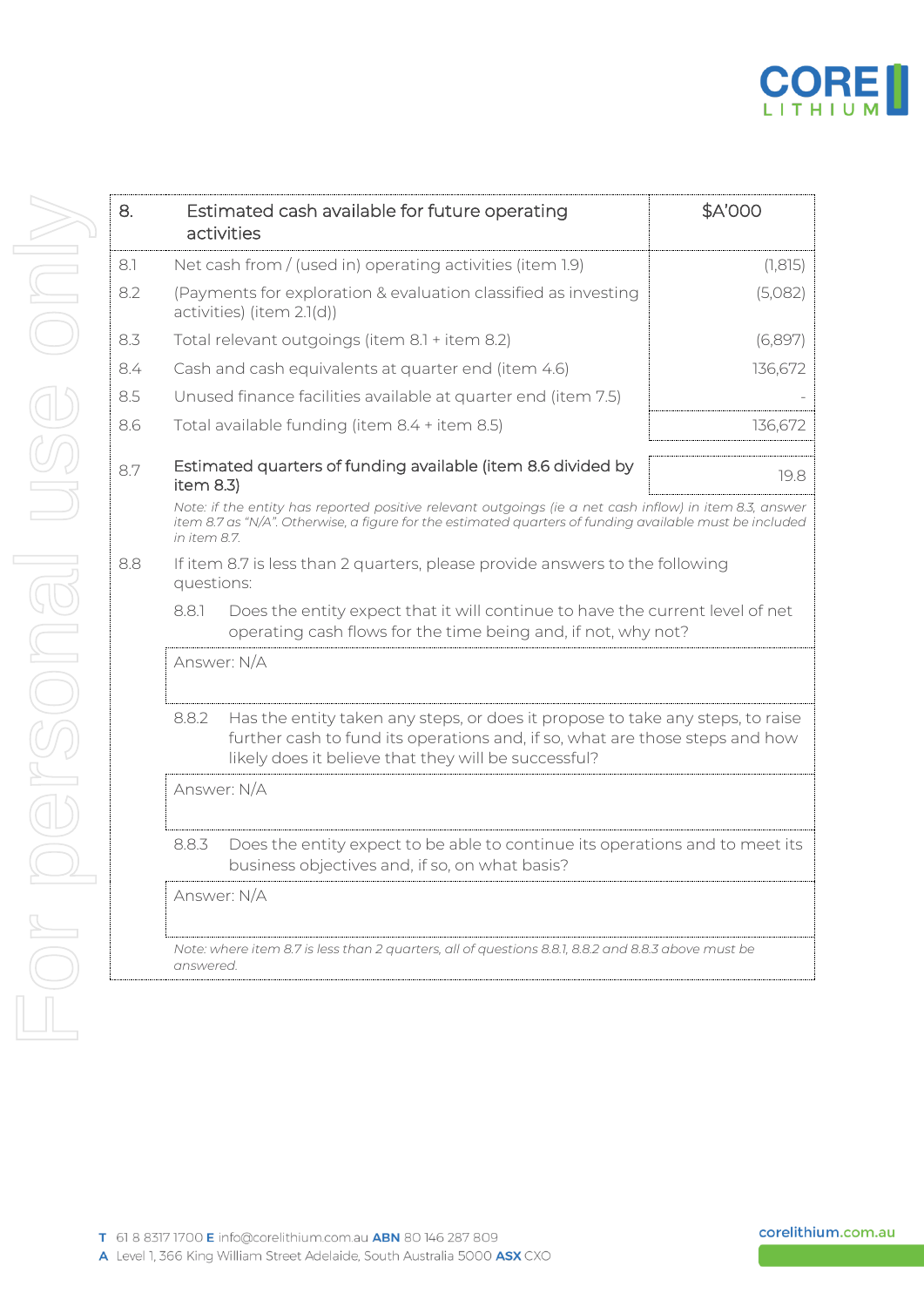

| 8.  |                                                                                                                                                                                                                                    | Estimated cash available for future operating<br>activities                                         | \$A'000  |  |  |
|-----|------------------------------------------------------------------------------------------------------------------------------------------------------------------------------------------------------------------------------------|-----------------------------------------------------------------------------------------------------|----------|--|--|
| 8.1 |                                                                                                                                                                                                                                    | Net cash from / (used in) operating activities (item 1.9)                                           | (1, 815) |  |  |
| 8.2 | (Payments for exploration & evaluation classified as investing<br>activities) (item 2.1(d))                                                                                                                                        |                                                                                                     | (5,082)  |  |  |
| 8.3 |                                                                                                                                                                                                                                    | Total relevant outgoings (item 8.1 + item 8.2)                                                      | (6,897)  |  |  |
| 8.4 |                                                                                                                                                                                                                                    | Cash and cash equivalents at quarter end (item 4.6)                                                 | 136,672  |  |  |
| 8.5 |                                                                                                                                                                                                                                    | Unused finance facilities available at quarter end (item 7.5)                                       |          |  |  |
| 8.6 | Total available funding (item 8.4 + item 8.5)                                                                                                                                                                                      |                                                                                                     | 136,672  |  |  |
| 8.7 | item $8.3$ )                                                                                                                                                                                                                       | Estimated quarters of funding available (item 8.6 divided by                                        | 19.8     |  |  |
|     | Note: if the entity has reported positive relevant outgoings (ie a net cash inflow) in item 8.3, answer<br>item 8.7 as "N/A". Otherwise, a figure for the estimated quarters of funding available must be included<br>in item 8.7. |                                                                                                     |          |  |  |
| 8.8 | If item 8.7 is less than 2 quarters, please provide answers to the following<br>questions:                                                                                                                                         |                                                                                                     |          |  |  |
|     | Does the entity expect that it will continue to have the current level of net<br>881<br>operating cash flows for the time being and, if not, why not?                                                                              |                                                                                                     |          |  |  |
|     | Answer: N/A                                                                                                                                                                                                                        |                                                                                                     |          |  |  |
|     | 8.8.2<br>Has the entity taken any steps, or does it propose to take any steps, to raise<br>further cash to fund its operations and, if so, what are those steps and how<br>likely does it believe that they will be successful?    |                                                                                                     |          |  |  |
|     |                                                                                                                                                                                                                                    | Answer: N/A                                                                                         |          |  |  |
|     | Does the entity expect to be able to continue its operations and to meet its<br>8.8.3<br>business objectives and, if so, on what basis?                                                                                            |                                                                                                     |          |  |  |
|     |                                                                                                                                                                                                                                    | Answer: N/A                                                                                         |          |  |  |
|     | answered.                                                                                                                                                                                                                          | Note: where item 8.7 is less than 2 quarters, all of questions 8.8.1, 8.8.2 and 8.8.3 above must be |          |  |  |